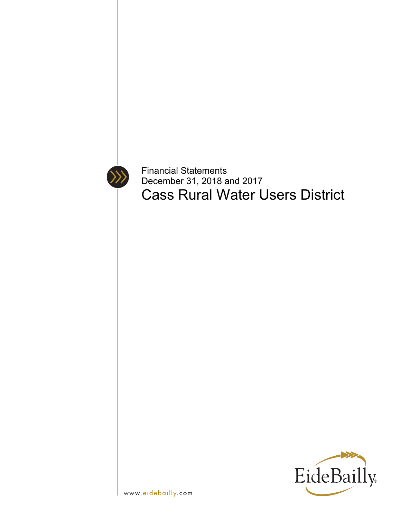

Financial Statements December 31, 2018 and 2017 Cass Rural Water Users District

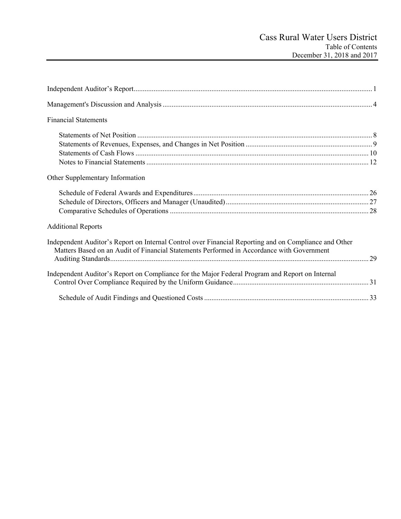| <b>Financial Statements</b>                                                                                                                                                                        |
|----------------------------------------------------------------------------------------------------------------------------------------------------------------------------------------------------|
|                                                                                                                                                                                                    |
| Other Supplementary Information                                                                                                                                                                    |
|                                                                                                                                                                                                    |
| <b>Additional Reports</b>                                                                                                                                                                          |
| Independent Auditor's Report on Internal Control over Financial Reporting and on Compliance and Other<br>Matters Based on an Audit of Financial Statements Performed in Accordance with Government |
| Independent Auditor's Report on Compliance for the Major Federal Program and Report on Internal                                                                                                    |
|                                                                                                                                                                                                    |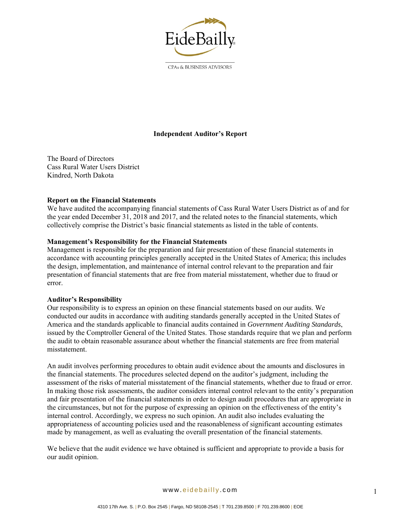

**CPAs & BUSINESS ADVISORS** 

## **Independent Auditor's Report**

The Board of Directors Cass Rural Water Users District Kindred, North Dakota

### **Report on the Financial Statements**

We have audited the accompanying financial statements of Cass Rural Water Users District as of and for the year ended December 31, 2018 and 2017, and the related notes to the financial statements, which collectively comprise the District's basic financial statements as listed in the table of contents.

### **Management's Responsibility for the Financial Statements**

Management is responsible for the preparation and fair presentation of these financial statements in accordance with accounting principles generally accepted in the United States of America; this includes the design, implementation, and maintenance of internal control relevant to the preparation and fair presentation of financial statements that are free from material misstatement, whether due to fraud or error.

#### **Auditor's Responsibility**

Our responsibility is to express an opinion on these financial statements based on our audits. We conducted our audits in accordance with auditing standards generally accepted in the United States of America and the standards applicable to financial audits contained in *Government Auditing Standards*, issued by the Comptroller General of the United States. Those standards require that we plan and perform the audit to obtain reasonable assurance about whether the financial statements are free from material misstatement.

An audit involves performing procedures to obtain audit evidence about the amounts and disclosures in the financial statements. The procedures selected depend on the auditor's judgment, including the assessment of the risks of material misstatement of the financial statements, whether due to fraud or error. In making those risk assessments, the auditor considers internal control relevant to the entity's preparation and fair presentation of the financial statements in order to design audit procedures that are appropriate in the circumstances, but not for the purpose of expressing an opinion on the effectiveness of the entity's internal control. Accordingly, we express no such opinion. An audit also includes evaluating the appropriateness of accounting policies used and the reasonableness of significant accounting estimates made by management, as well as evaluating the overall presentation of the financial statements.

We believe that the audit evidence we have obtained is sufficient and appropriate to provide a basis for our audit opinion.

www. eidebailly .com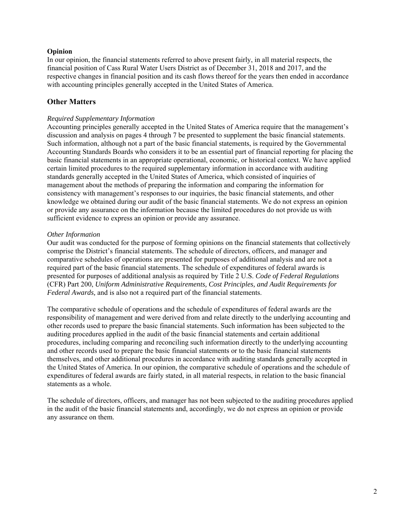### **Opinion**

In our opinion, the financial statements referred to above present fairly, in all material respects, the financial position of Cass Rural Water Users District as of December 31, 2018 and 2017, and the respective changes in financial position and its cash flows thereof for the years then ended in accordance with accounting principles generally accepted in the United States of America.

## **Other Matters**

### *Required Supplementary Information*

Accounting principles generally accepted in the United States of America require that the management's discussion and analysis on pages 4 through 7 be presented to supplement the basic financial statements. Such information, although not a part of the basic financial statements, is required by the Governmental Accounting Standards Boards who considers it to be an essential part of financial reporting for placing the basic financial statements in an appropriate operational, economic, or historical context. We have applied certain limited procedures to the required supplementary information in accordance with auditing standards generally accepted in the United States of America, which consisted of inquiries of management about the methods of preparing the information and comparing the information for consistency with management's responses to our inquiries, the basic financial statements, and other knowledge we obtained during our audit of the basic financial statements. We do not express an opinion or provide any assurance on the information because the limited procedures do not provide us with sufficient evidence to express an opinion or provide any assurance.

### *Other Information*

Our audit was conducted for the purpose of forming opinions on the financial statements that collectively comprise the District's financial statements. The schedule of directors, officers, and manager and comparative schedules of operations are presented for purposes of additional analysis and are not a required part of the basic financial statements. The schedule of expenditures of federal awards is presented for purposes of additional analysis as required by Title 2 U.S. *Code of Federal Regulations*  (CFR) Part 200, *Uniform Administrative Requirements, Cost Principles, and Audit Requirements for Federal Awards,* and is also not a required part of the financial statements.

The comparative schedule of operations and the schedule of expenditures of federal awards are the responsibility of management and were derived from and relate directly to the underlying accounting and other records used to prepare the basic financial statements. Such information has been subjected to the auditing procedures applied in the audit of the basic financial statements and certain additional procedures, including comparing and reconciling such information directly to the underlying accounting and other records used to prepare the basic financial statements or to the basic financial statements themselves, and other additional procedures in accordance with auditing standards generally accepted in the United States of America. In our opinion, the comparative schedule of operations and the schedule of expenditures of federal awards are fairly stated, in all material respects, in relation to the basic financial statements as a whole.

The schedule of directors, officers, and manager has not been subjected to the auditing procedures applied in the audit of the basic financial statements and, accordingly, we do not express an opinion or provide any assurance on them.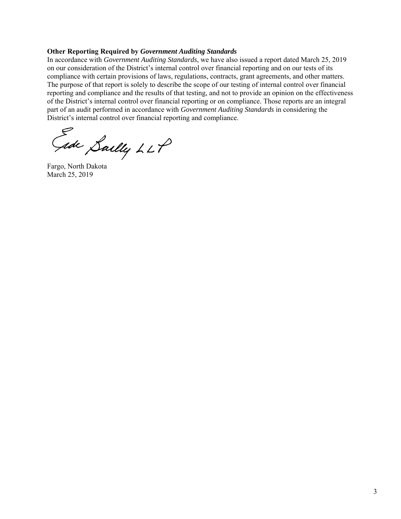### **Other Reporting Required by** *Government Auditing Standards*

In accordance with *Government Auditing Standards*, we have also issued a report dated March 25, 2019 on our consideration of the District's internal control over financial reporting and on our tests of its compliance with certain provisions of laws, regulations, contracts, grant agreements, and other matters. The purpose of that report is solely to describe the scope of our testing of internal control over financial reporting and compliance and the results of that testing, and not to provide an opinion on the effectiveness of the District's internal control over financial reporting or on compliance. Those reports are an integral part of an audit performed in accordance with *Government Auditing Standards* in considering the District's internal control over financial reporting and compliance.

Gade Sailly LLP

Fargo, North Dakota March 25, 2019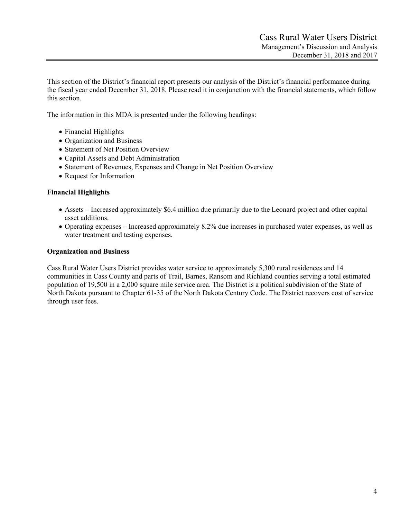This section of the District's financial report presents our analysis of the District's financial performance during the fiscal year ended December 31, 2018. Please read it in conjunction with the financial statements, which follow this section.

The information in this MDA is presented under the following headings:

- Financial Highlights
- Organization and Business
- Statement of Net Position Overview
- Capital Assets and Debt Administration
- Statement of Revenues, Expenses and Change in Net Position Overview
- Request for Information

## **Financial Highlights**

- Assets Increased approximately \$6.4 million due primarily due to the Leonard project and other capital asset additions.
- Operating expenses Increased approximately 8.2% due increases in purchased water expenses, as well as water treatment and testing expenses.

### **Organization and Business**

Cass Rural Water Users District provides water service to approximately 5,300 rural residences and 14 communities in Cass County and parts of Trail, Barnes, Ransom and Richland counties serving a total estimated population of 19,500 in a 2,000 square mile service area. The District is a political subdivision of the State of North Dakota pursuant to Chapter 61-35 of the North Dakota Century Code. The District recovers cost of service through user fees.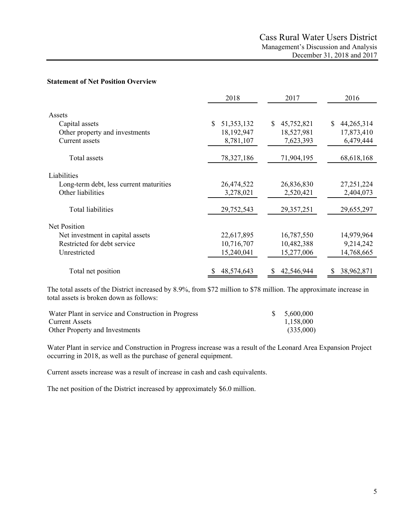### **Statement of Net Position Overview**

|                                         | 2018             | 2017                       | 2016                       |
|-----------------------------------------|------------------|----------------------------|----------------------------|
| Assets                                  |                  |                            |                            |
| Capital assets                          | \$<br>51,353,132 | $\mathbb{S}$<br>45,752,821 | $\mathbb{S}$<br>44,265,314 |
| Other property and investments          | 18,192,947       | 18,527,981                 | 17,873,410                 |
| Current assets                          | 8,781,107        | 7,623,393                  | 6,479,444                  |
| Total assets                            | 78, 327, 186     | 71,904,195                 | 68,618,168                 |
| Liabilities                             |                  |                            |                            |
| Long-term debt, less current maturities | 26,474,522       | 26,836,830                 | 27, 251, 224               |
| Other liabilities                       | 3,278,021        | 2,520,421                  | 2,404,073                  |
| Total liabilities                       | 29,752,543       | 29,357,251                 | 29,655,297                 |
| Net Position                            |                  |                            |                            |
| Net investment in capital assets        | 22,617,895       | 16,787,550                 | 14,979,964                 |
| Restricted for debt service             | 10,716,707       | 10,482,388                 | 9,214,242                  |
| Unrestricted                            | 15,240,041       | 15,277,006                 | 14,768,665                 |
| Total net position                      | 48,574,643       | 42,546,944<br>S.           | 38,962,871<br>S            |

The total assets of the District increased by 8.9%, from \$72 million to \$78 million. The approximate increase in total assets is broken down as follows:

| Water Plant in service and Construction in Progress |  | \$5,600,000 |
|-----------------------------------------------------|--|-------------|
| <b>Current Assets</b>                               |  | 1,158,000   |
| Other Property and Investments                      |  | (335,000)   |

Water Plant in service and Construction in Progress increase was a result of the Leonard Area Expansion Project occurring in 2018, as well as the purchase of general equipment.

Current assets increase was a result of increase in cash and cash equivalents.

The net position of the District increased by approximately \$6.0 million.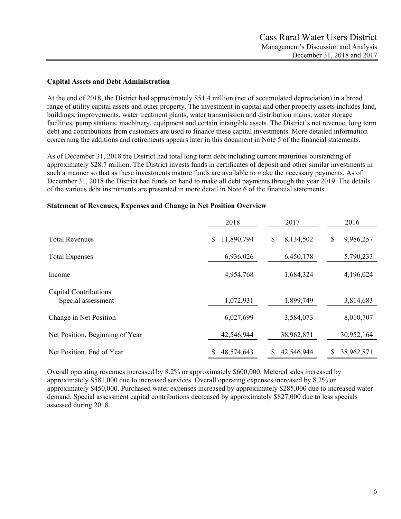### **Capital Assets and Debt Administration**

At the end of 2018, the District had approximately \$51.4 million (net of accumulated depreciation) in a broad range of utility capital assets and other property. The investment in capital and other property assets includes land, buildings, improvements, water treatment plants, water transmission and distribution mains, water storage facilities, pump stations, machinery, equipment and certain intangible assets. The District's net revenue, long term debt and contributions from customers are used to finance these capital investments. More detailed information concerning the additions and retirements appears later in this document in Note 5 of the financial statements.

As of December 31, 2018 the District had total long term debt including current maturities outstanding of approximately \$28.7 million. The District invests funds in certificates of deposit and other similar investments in such a manner so that as these investments mature funds are available to make the necessary payments. As of December 31, 2018 the District had funds on hand to make all debt payments through the year 2019. The details of the various debt instruments are presented in more detail in Note 6 of the financial statements.

|                                             | 2018             | 2017            | 2016            |
|---------------------------------------------|------------------|-----------------|-----------------|
| <b>Total Revenues</b>                       | 11,890,794<br>\$ | 8,134,502<br>\$ | 9,986,257<br>\$ |
| <b>Total Expenses</b>                       | 6,936,026        | 6,450,178       | 5,790,233       |
| Income                                      | 4,954,768        | 1,684,324       | 4,196,024       |
| Capital Contributions<br>Special assessment | 1,072,931        | 1,899,749       | 3,814,683       |
| Change in Net Position                      | 6,027,699        | 3,584,073       | 8,010,707       |
| Net Position, Beginning of Year             | 42,546,944       | 38,962,871      | 30,952,164      |
| Net Position, End of Year                   | 48,574,643       | 42,546,944<br>S | 38,962,871      |

### **Statement of Revenues, Expenses and Change in Net Position Overview**

Overall operating revenues increased by 8.2% or approximately \$600,000. Metered sales increased by approximately \$581,000 due to increased services. Overall operating expenses increased by 8.2% or approximately \$450,000. Purchased water expenses increased by approximately \$285,000 due to increased water demand. Special assessment capital contributions decreased by approximately \$827,000 due to less specials assessed during 2018.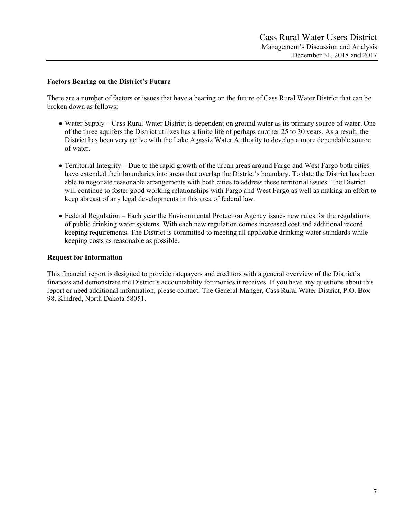### **Factors Bearing on the District's Future**

There are a number of factors or issues that have a bearing on the future of Cass Rural Water District that can be broken down as follows:

- Water Supply Cass Rural Water District is dependent on ground water as its primary source of water. One of the three aquifers the District utilizes has a finite life of perhaps another 25 to 30 years. As a result, the District has been very active with the Lake Agassiz Water Authority to develop a more dependable source of water.
- Territorial Integrity Due to the rapid growth of the urban areas around Fargo and West Fargo both cities have extended their boundaries into areas that overlap the District's boundary. To date the District has been able to negotiate reasonable arrangements with both cities to address these territorial issues. The District will continue to foster good working relationships with Fargo and West Fargo as well as making an effort to keep abreast of any legal developments in this area of federal law.
- Federal Regulation Each year the Environmental Protection Agency issues new rules for the regulations of public drinking water systems. With each new regulation comes increased cost and additional record keeping requirements. The District is committed to meeting all applicable drinking water standards while keeping costs as reasonable as possible.

#### **Request for Information**

This financial report is designed to provide ratepayers and creditors with a general overview of the District's finances and demonstrate the District's accountability for monies it receives. If you have any questions about this report or need additional information, please contact: The General Manger, Cass Rural Water District, P.O. Box 98, Kindred, North Dakota 58051.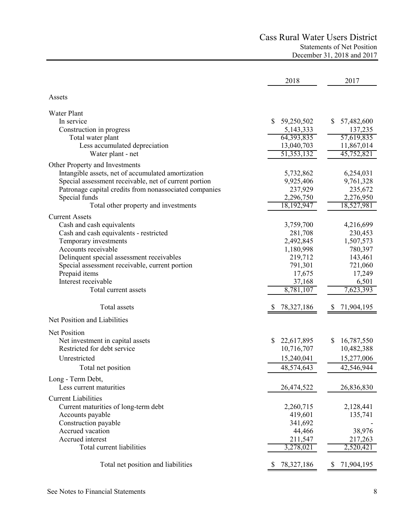# Cass Rural Water Users District Statements of Net Position December 31, 2018 and 2017

|                                                                                                                 | 2018                    | 2017                  |
|-----------------------------------------------------------------------------------------------------------------|-------------------------|-----------------------|
| Assets                                                                                                          |                         |                       |
|                                                                                                                 |                         |                       |
| <b>Water Plant</b>                                                                                              |                         |                       |
| In service                                                                                                      | \$<br>59,250,502        | 57,482,600            |
| Construction in progress                                                                                        | 5,143,333<br>64,393,835 | 137,235<br>57,619,835 |
| Total water plant<br>Less accumulated depreciation                                                              | 13,040,703              | 11,867,014            |
| Water plant - net                                                                                               | 51, 353, 132            | 45,752,821            |
|                                                                                                                 |                         |                       |
| Other Property and Investments                                                                                  |                         |                       |
| Intangible assets, net of accumulated amortization                                                              | 5,732,862<br>9,925,406  | 6,254,031             |
| Special assessment receivable, net of current portion<br>Patronage capital credits from nonassociated companies | 237,929                 | 9,761,328<br>235,672  |
| Special funds                                                                                                   | 2,296,750               | 2,276,950             |
| Total other property and investments                                                                            | 18,192,947              | 18,527,981            |
|                                                                                                                 |                         |                       |
| <b>Current Assets</b><br>Cash and cash equivalents                                                              | 3,759,700               | 4,216,699             |
| Cash and cash equivalents - restricted                                                                          | 281,708                 | 230,453               |
| Temporary investments                                                                                           | 2,492,845               | 1,507,573             |
| Accounts receivable                                                                                             | 1,180,998               | 780,397               |
| Delinquent special assessment receivables                                                                       | 219,712                 | 143,461               |
| Special assessment receivable, current portion                                                                  | 791,301                 | 721,060               |
| Prepaid items                                                                                                   | 17,675                  | 17,249                |
| Interest receivable                                                                                             | 37,168                  | 6,501                 |
| Total current assets                                                                                            | 8,781,107               | 7,623,393             |
|                                                                                                                 |                         |                       |
| Total assets                                                                                                    | 78, 327, 186            | 71,904,195            |
| Net Position and Liabilities                                                                                    |                         |                       |
| <b>Net Position</b>                                                                                             |                         |                       |
| Net investment in capital assets                                                                                | 22,617,895<br>\$        | 16,787,550<br>\$      |
| Restricted for debt service                                                                                     | 10,716,707              | 10,482,388            |
| Unrestricted                                                                                                    | 15,240,041              | 15,277,006            |
| Total net position                                                                                              | 48,574,643              | 42,546,944            |
| Long - Term Debt,                                                                                               |                         |                       |
| Less current maturities                                                                                         | 26,474,522              | 26,836,830            |
|                                                                                                                 |                         |                       |
| <b>Current Liabilities</b>                                                                                      |                         |                       |
| Current maturities of long-term debt                                                                            | 2,260,715<br>419,601    | 2,128,441             |
| Accounts payable                                                                                                |                         | 135,741               |
| Construction payable<br>Accrued vacation                                                                        | 341,692<br>44,466       | 38,976                |
| Accrued interest                                                                                                | 211,547                 | 217,263               |
| Total current liabilities                                                                                       | 3,278,021               | 2,520,421             |
|                                                                                                                 |                         |                       |
| Total net position and liabilities                                                                              | 78, 327, 186<br>S       | 71,904,195<br>S       |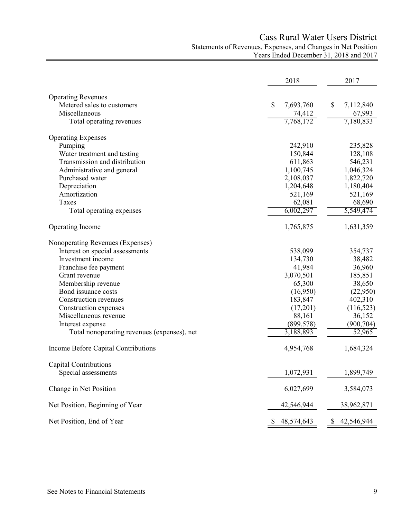## Cass Rural Water Users District Statements of Revenues, Expenses, and Changes in Net Position Years Ended December 31, 2018 and 2017

|                                             | 2018             | 2017             |
|---------------------------------------------|------------------|------------------|
| <b>Operating Revenues</b>                   |                  |                  |
| Metered sales to customers                  | \$<br>7,693,760  | \$<br>7,112,840  |
| Miscellaneous                               | 74,412           | 67,993           |
| Total operating revenues                    | 7,768,172        | 7,180,833        |
| <b>Operating Expenses</b>                   |                  |                  |
| Pumping                                     | 242,910          | 235,828          |
| Water treatment and testing                 | 150,844          | 128,108          |
| Transmission and distribution               | 611,863          | 546,231          |
| Administrative and general                  | 1,100,745        | 1,046,324        |
| Purchased water                             | 2,108,037        | 1,822,720        |
| Depreciation                                | 1,204,648        | 1,180,404        |
| Amortization                                | 521,169          | 521,169          |
| Taxes                                       | 62,081           | 68,690           |
| Total operating expenses                    | 6,002,297        | 5,549,474        |
| Operating Income                            | 1,765,875        | 1,631,359        |
| Nonoperating Revenues (Expenses)            |                  |                  |
| Interest on special assessments             | 538,099          | 354,737          |
| Investment income                           | 134,730          | 38,482           |
| Franchise fee payment                       | 41,984           | 36,960           |
| Grant revenue                               | 3,070,501        | 185,851          |
| Membership revenue                          | 65,300           | 38,650           |
| Bond issuance costs                         | (16,950)         | (22,950)         |
| Construction revenues                       | 183,847          | 402,310          |
| Construction expenses                       | (17,201)         | (116, 523)       |
| Miscellaneous revenue                       | 88,161           | 36,152           |
| Interest expense                            | (899, 578)       | (900, 704)       |
| Total nonoperating revenues (expenses), net | 3,188,893        | 52,965           |
| Income Before Capital Contributions         | 4,954,768        | 1,684,324        |
| Capital Contributions                       |                  |                  |
| Special assessments                         | 1,072,931        | 1,899,749        |
| Change in Net Position                      | 6,027,699        | 3,584,073        |
| Net Position, Beginning of Year             | 42,546,944       | 38,962,871       |
| Net Position, End of Year                   | 48,574,643<br>\$ | 42,546,944<br>\$ |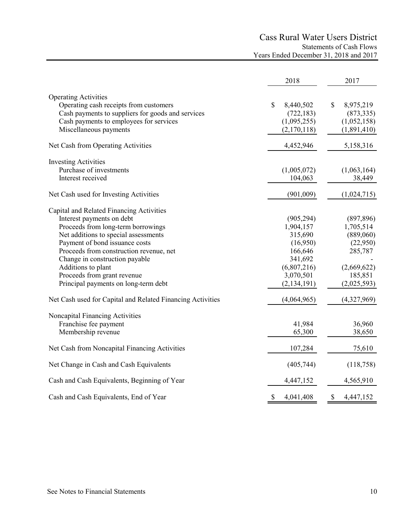# Cass Rural Water Users District Statements of Cash Flows Years Ended December 31, 2018 and 2017

|                                                                                                                                                                                                                                                                                                                                                                 | 2018                                                                                                              | 2017                                                                                                 |
|-----------------------------------------------------------------------------------------------------------------------------------------------------------------------------------------------------------------------------------------------------------------------------------------------------------------------------------------------------------------|-------------------------------------------------------------------------------------------------------------------|------------------------------------------------------------------------------------------------------|
| <b>Operating Activities</b><br>Operating cash receipts from customers<br>Cash payments to suppliers for goods and services<br>Cash payments to employees for services<br>Miscellaneous payments                                                                                                                                                                 | $\mathbb{S}$<br>8,440,502<br>(722, 183)<br>(1,095,255)<br>(2,170,118)                                             | $\mathbb{S}$<br>8,975,219<br>(873, 335)<br>(1,052,158)<br>(1,891,410)                                |
| Net Cash from Operating Activities                                                                                                                                                                                                                                                                                                                              | 4,452,946                                                                                                         | 5,158,316                                                                                            |
| <b>Investing Activities</b><br>Purchase of investments<br>Interest received                                                                                                                                                                                                                                                                                     | (1,005,072)<br>104,063                                                                                            | (1,063,164)<br>38,449                                                                                |
| Net Cash used for Investing Activities                                                                                                                                                                                                                                                                                                                          | (901,009)                                                                                                         | (1,024,715)                                                                                          |
| Capital and Related Financing Activities<br>Interest payments on debt<br>Proceeds from long-term borrowings<br>Net additions to special assessments<br>Payment of bond issuance costs<br>Proceeds from construction revenue, net<br>Change in construction payable<br>Additions to plant<br>Proceeds from grant revenue<br>Principal payments on long-term debt | (905, 294)<br>1,904,157<br>315,690<br>(16,950)<br>166,646<br>341,692<br>(6,807,216)<br>3,070,501<br>(2, 134, 191) | (897, 896)<br>1,705,514<br>(889,060)<br>(22,950)<br>285,787<br>(2,669,622)<br>185,851<br>(2,025,593) |
| Net Cash used for Capital and Related Financing Activities                                                                                                                                                                                                                                                                                                      | (4,064,965)                                                                                                       | (4,327,969)                                                                                          |
| Noncapital Financing Activities<br>Franchise fee payment<br>Membership revenue                                                                                                                                                                                                                                                                                  | 41,984<br>65,300                                                                                                  | 36,960<br>38,650                                                                                     |
| Net Cash from Noncapital Financing Activities                                                                                                                                                                                                                                                                                                                   | 107,284                                                                                                           | 75,610                                                                                               |
| Net Change in Cash and Cash Equivalents                                                                                                                                                                                                                                                                                                                         | (405,744)                                                                                                         | (118,758)                                                                                            |
| Cash and Cash Equivalents, Beginning of Year                                                                                                                                                                                                                                                                                                                    | 4,447,152                                                                                                         | 4,565,910                                                                                            |
| Cash and Cash Equivalents, End of Year                                                                                                                                                                                                                                                                                                                          | \$<br>4,041,408                                                                                                   | \$<br>4,447,152                                                                                      |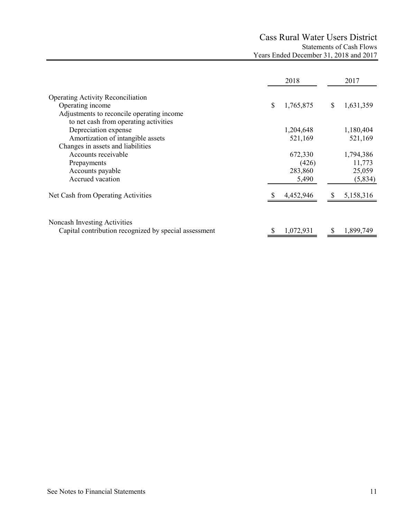# Cass Rural Water Users District Statements of Cash Flows Years Ended December 31, 2018 and 2017

|                                                       | 2018            |              | 2017      |
|-------------------------------------------------------|-----------------|--------------|-----------|
| <b>Operating Activity Reconciliation</b>              |                 |              |           |
| Operating income                                      | \$<br>1,765,875 | \$           | 1,631,359 |
| Adjustments to reconcile operating income             |                 |              |           |
| to net cash from operating activities                 |                 |              |           |
| Depreciation expense                                  | 1,204,648       |              | 1,180,404 |
| Amortization of intangible assets                     | 521,169         |              | 521,169   |
| Changes in assets and liabilities                     |                 |              |           |
| Accounts receivable                                   | 672,330         |              | 1,794,386 |
| Prepayments                                           | (426)           |              | 11,773    |
| Accounts payable                                      | 283,860         |              | 25,059    |
| Accrued vacation                                      | 5,490           |              | (5,834)   |
| Net Cash from Operating Activities                    | 4,452,946       | <sup>S</sup> | 5,158,316 |
|                                                       |                 |              |           |
| Noncash Investing Activities                          |                 |              |           |
| Capital contribution recognized by special assessment | 1,072,931       |              | 1,899,749 |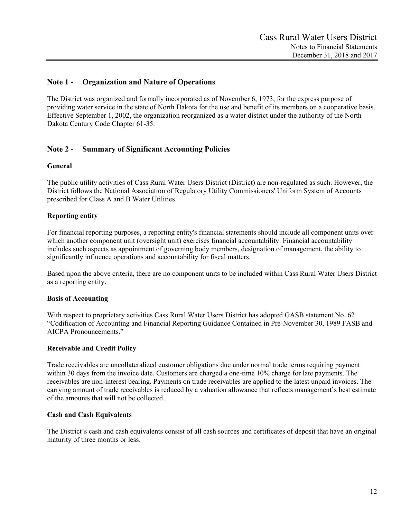## **Note 1 - Organization and Nature of Operations**

The District was organized and formally incorporated as of November 6, 1973, for the express purpose of providing water service in the state of North Dakota for the use and benefit of its members on a cooperative basis. Effective September 1, 2002, the organization reorganized as a water district under the authority of the North Dakota Century Code Chapter 61-35.

## **Note 2 - Summary of Significant Accounting Policies**

## **General**

The public utility activities of Cass Rural Water Users District (District) are non-regulated as such. However, the District follows the National Association of Regulatory Utility Commissioners' Uniform System of Accounts prescribed for Class A and B Water Utilities.

## **Reporting entity**

For financial reporting purposes, a reporting entity's financial statements should include all component units over which another component unit (oversight unit) exercises financial accountability. Financial accountability includes such aspects as appointment of governing body members, designation of management, the ability to significantly influence operations and accountability for fiscal matters.

Based upon the above criteria, there are no component units to be included within Cass Rural Water Users District as a reporting entity.

### **Basis of Accounting**

With respect to proprietary activities Cass Rural Water Users District has adopted GASB statement No. 62 "Codification of Accounting and Financial Reporting Guidance Contained in Pre-November 30, 1989 FASB and AICPA Pronouncements."

### **Receivable and Credit Policy**

Trade receivables are uncollateralized customer obligations due under normal trade terms requiring payment within 30 days from the invoice date. Customers are charged a one-time 10% charge for late payments. The receivables are non-interest bearing. Payments on trade receivables are applied to the latest unpaid invoices. The carrying amount of trade receivables is reduced by a valuation allowance that reflects management's best estimate of the amounts that will not be collected.

### **Cash and Cash Equivalents**

The District's cash and cash equivalents consist of all cash sources and certificates of deposit that have an original maturity of three months or less.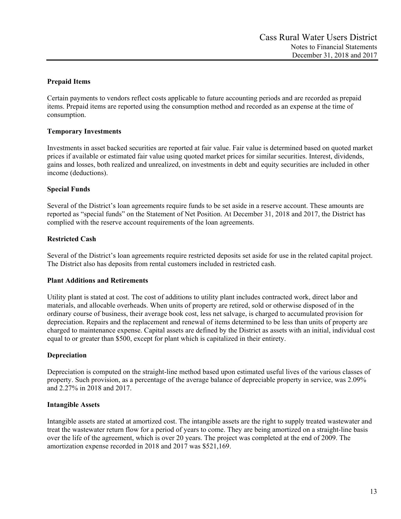### **Prepaid Items**

Certain payments to vendors reflect costs applicable to future accounting periods and are recorded as prepaid items. Prepaid items are reported using the consumption method and recorded as an expense at the time of consumption.

### **Temporary Investments**

Investments in asset backed securities are reported at fair value. Fair value is determined based on quoted market prices if available or estimated fair value using quoted market prices for similar securities. Interest, dividends, gains and losses, both realized and unrealized, on investments in debt and equity securities are included in other income (deductions).

## **Special Funds**

Several of the District's loan agreements require funds to be set aside in a reserve account. These amounts are reported as "special funds" on the Statement of Net Position. At December 31, 2018 and 2017, the District has complied with the reserve account requirements of the loan agreements.

## **Restricted Cash**

Several of the District's loan agreements require restricted deposits set aside for use in the related capital project. The District also has deposits from rental customers included in restricted cash.

### **Plant Additions and Retirements**

Utility plant is stated at cost. The cost of additions to utility plant includes contracted work, direct labor and materials, and allocable overheads. When units of property are retired, sold or otherwise disposed of in the ordinary course of business, their average book cost, less net salvage, is charged to accumulated provision for depreciation. Repairs and the replacement and renewal of items determined to be less than units of property are charged to maintenance expense. Capital assets are defined by the District as assets with an initial, individual cost equal to or greater than \$500, except for plant which is capitalized in their entirety.

### **Depreciation**

Depreciation is computed on the straight-line method based upon estimated useful lives of the various classes of property. Such provision, as a percentage of the average balance of depreciable property in service, was 2.09% and 2.27% in 2018 and 2017.

### **Intangible Assets**

Intangible assets are stated at amortized cost. The intangible assets are the right to supply treated wastewater and treat the wastewater return flow for a period of years to come. They are being amortized on a straight-line basis over the life of the agreement, which is over 20 years. The project was completed at the end of 2009. The amortization expense recorded in 2018 and 2017 was \$521,169.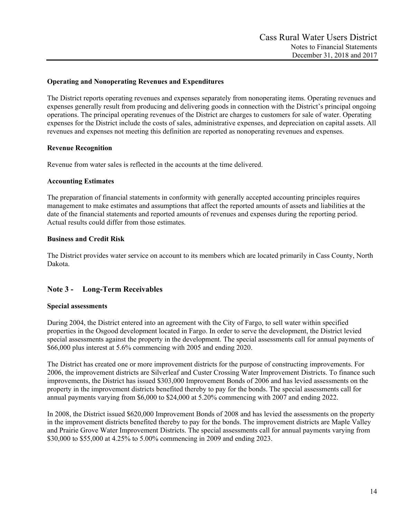### **Operating and Nonoperating Revenues and Expenditures**

The District reports operating revenues and expenses separately from nonoperating items. Operating revenues and expenses generally result from producing and delivering goods in connection with the District's principal ongoing operations. The principal operating revenues of the District are charges to customers for sale of water. Operating expenses for the District include the costs of sales, administrative expenses, and depreciation on capital assets. All revenues and expenses not meeting this definition are reported as nonoperating revenues and expenses.

## **Revenue Recognition**

Revenue from water sales is reflected in the accounts at the time delivered.

### **Accounting Estimates**

The preparation of financial statements in conformity with generally accepted accounting principles requires management to make estimates and assumptions that affect the reported amounts of assets and liabilities at the date of the financial statements and reported amounts of revenues and expenses during the reporting period. Actual results could differ from those estimates.

### **Business and Credit Risk**

The District provides water service on account to its members which are located primarily in Cass County, North Dakota.

## **Note 3 - Long-Term Receivables**

### **Special assessments**

During 2004, the District entered into an agreement with the City of Fargo, to sell water within specified properties in the Osgood development located in Fargo. In order to serve the development, the District levied special assessments against the property in the development. The special assessments call for annual payments of \$66,000 plus interest at 5.6% commencing with 2005 and ending 2020.

The District has created one or more improvement districts for the purpose of constructing improvements. For 2006, the improvement districts are Silverleaf and Custer Crossing Water Improvement Districts. To finance such improvements, the District has issued \$303,000 Improvement Bonds of 2006 and has levied assessments on the property in the improvement districts benefited thereby to pay for the bonds. The special assessments call for annual payments varying from \$6,000 to \$24,000 at 5.20% commencing with 2007 and ending 2022.

In 2008, the District issued \$620,000 Improvement Bonds of 2008 and has levied the assessments on the property in the improvement districts benefited thereby to pay for the bonds. The improvement districts are Maple Valley and Prairie Grove Water Improvement Districts. The special assessments call for annual payments varying from \$30,000 to \$55,000 at 4.25% to 5.00% commencing in 2009 and ending 2023.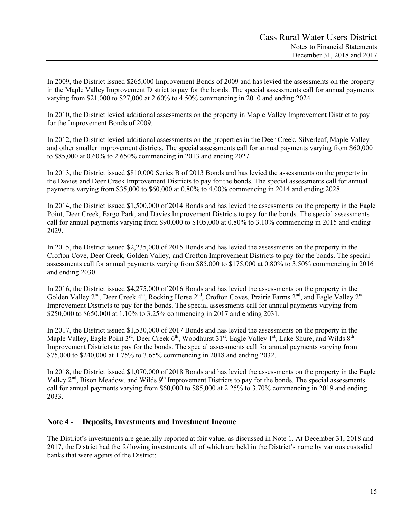In 2009, the District issued \$265,000 Improvement Bonds of 2009 and has levied the assessments on the property in the Maple Valley Improvement District to pay for the bonds. The special assessments call for annual payments varying from \$21,000 to \$27,000 at 2.60% to 4.50% commencing in 2010 and ending 2024.

In 2010, the District levied additional assessments on the property in Maple Valley Improvement District to pay for the Improvement Bonds of 2009.

In 2012, the District levied additional assessments on the properties in the Deer Creek, Silverleaf, Maple Valley and other smaller improvement districts. The special assessments call for annual payments varying from \$60,000 to \$85,000 at 0.60% to 2.650% commencing in 2013 and ending 2027.

In 2013, the District issued \$810,000 Series B of 2013 Bonds and has levied the assessments on the property in the Davies and Deer Creek Improvement Districts to pay for the bonds. The special assessments call for annual payments varying from \$35,000 to \$60,000 at 0.80% to 4.00% commencing in 2014 and ending 2028.

In 2014, the District issued \$1,500,000 of 2014 Bonds and has levied the assessments on the property in the Eagle Point, Deer Creek, Fargo Park, and Davies Improvement Districts to pay for the bonds. The special assessments call for annual payments varying from \$90,000 to \$105,000 at 0.80% to 3.10% commencing in 2015 and ending 2029.

In 2015, the District issued \$2,235,000 of 2015 Bonds and has levied the assessments on the property in the Crofton Cove, Deer Creek, Golden Valley, and Crofton Improvement Districts to pay for the bonds. The special assessments call for annual payments varying from \$85,000 to \$175,000 at 0.80% to 3.50% commencing in 2016 and ending 2030.

In 2016, the District issued \$4,275,000 of 2016 Bonds and has levied the assessments on the property in the Golden Valley 2<sup>nd</sup>, Deer Creek 4<sup>th</sup>, Rocking Horse 2<sup>nd</sup>, Crofton Coves, Prairie Farms 2<sup>nd</sup>, and Eagle Valley 2<sup>nd</sup> Improvement Districts to pay for the bonds. The special assessments call for annual payments varying from \$250,000 to \$650,000 at 1.10% to 3.25% commencing in 2017 and ending 2031.

In 2017, the District issued \$1,530,000 of 2017 Bonds and has levied the assessments on the property in the Maple Valley, Eagle Point 3<sup>rd</sup>, Deer Creek 6<sup>th</sup>, Woodhurst 31<sup>st</sup>, Eagle Valley 1<sup>st</sup>, Lake Shure, and Wilds 8<sup>th</sup> Improvement Districts to pay for the bonds. The special assessments call for annual payments varying from \$75,000 to \$240,000 at 1.75% to 3.65% commencing in 2018 and ending 2032.

In 2018, the District issued \$1,070,000 of 2018 Bonds and has levied the assessments on the property in the Eagle Valley 2<sup>nd</sup>, Bison Meadow, and Wilds 9<sup>th</sup> Improvement Districts to pay for the bonds. The special assessments call for annual payments varying from \$60,000 to \$85,000 at 2.25% to 3.70% commencing in 2019 and ending 2033.

## **Note 4 - Deposits, Investments and Investment Income**

The District's investments are generally reported at fair value, as discussed in Note 1. At December 31, 2018 and 2017, the District had the following investments, all of which are held in the District's name by various custodial banks that were agents of the District: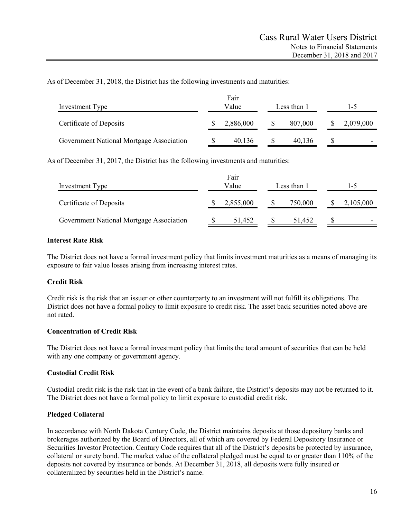As of December 31, 2018, the District has the following investments and maturities:

| Investment Type                          | Fair<br>Value<br>Less than 1 |           |  |         | $1 - 5$   |
|------------------------------------------|------------------------------|-----------|--|---------|-----------|
| Certificate of Deposits                  |                              | 2,886,000 |  | 807,000 | 2,079,000 |
| Government National Mortgage Association |                              | 40,136    |  | 40,136  | -         |

As of December 31, 2017, the District has the following investments and maturities:

| Investment Type                          | Fair<br>Value<br>Less than 1 |           |  |         | I-5 |           |  |
|------------------------------------------|------------------------------|-----------|--|---------|-----|-----------|--|
| Certificate of Deposits                  |                              | 2,855,000 |  | 750,000 |     | 2,105,000 |  |
| Government National Mortgage Association |                              | 51.452    |  | 51.452  |     |           |  |

### **Interest Rate Risk**

The District does not have a formal investment policy that limits investment maturities as a means of managing its exposure to fair value losses arising from increasing interest rates.

## **Credit Risk**

Credit risk is the risk that an issuer or other counterparty to an investment will not fulfill its obligations. The District does not have a formal policy to limit exposure to credit risk. The asset back securities noted above are not rated.

### **Concentration of Credit Risk**

The District does not have a formal investment policy that limits the total amount of securities that can be held with any one company or government agency.

### **Custodial Credit Risk**

Custodial credit risk is the risk that in the event of a bank failure, the District's deposits may not be returned to it. The District does not have a formal policy to limit exposure to custodial credit risk.

## **Pledged Collateral**

In accordance with North Dakota Century Code, the District maintains deposits at those depository banks and brokerages authorized by the Board of Directors, all of which are covered by Federal Depository Insurance or Securities Investor Protection. Century Code requires that all of the District's deposits be protected by insurance, collateral or surety bond. The market value of the collateral pledged must be equal to or greater than 110% of the deposits not covered by insurance or bonds. At December 31, 2018, all deposits were fully insured or collateralized by securities held in the District's name.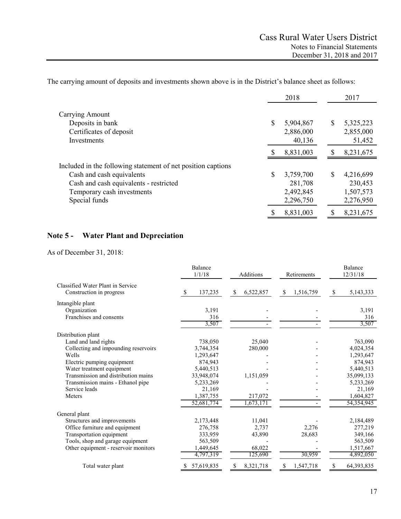The carrying amount of deposits and investments shown above is in the District's balance sheet as follows:

|                                                              | 2018            |    | 2017      |
|--------------------------------------------------------------|-----------------|----|-----------|
| Carrying Amount                                              |                 |    |           |
| Deposits in bank                                             | \$<br>5,904,867 | \$ | 5,325,223 |
| Certificates of deposit                                      | 2,886,000       |    | 2,855,000 |
| Investments                                                  | 40,136          |    | 51,452    |
|                                                              | 8,831,003       | S  | 8,231,675 |
| Included in the following statement of net position captions |                 |    |           |
| Cash and cash equivalents                                    | \$<br>3,759,700 | \$ | 4,216,699 |
| Cash and cash equivalents - restricted                       | 281,708         |    | 230,453   |
| Temporary cash investments                                   | 2,492,845       |    | 1,507,573 |
| Special funds                                                | 2,296,750       |    | 2,276,950 |
|                                                              | 8,831,003       |    | 8,231,675 |

# **Note 5 - Water Plant and Depreciation**

As of December 31, 2018:

|                                      | Balance<br>1/1/18   | Additions                  | Retirements     | Balance<br>12/31/18        |
|--------------------------------------|---------------------|----------------------------|-----------------|----------------------------|
| Classified Water Plant in Service    |                     |                            |                 |                            |
| Construction in progress             | 137,235<br><b>S</b> | 6,522,857<br><sup>\$</sup> | 1,516,759<br>\$ | 5,143,333<br><sup>\$</sup> |
| Intangible plant                     |                     |                            |                 |                            |
| Organization                         | 3,191               |                            |                 | 3,191                      |
| Franchises and consents              | 316                 |                            |                 | 316                        |
|                                      | 3,507               |                            |                 | 3,507                      |
| Distribution plant                   |                     |                            |                 |                            |
| Land and land rights                 | 738,050             | 25,040                     |                 | 763,090                    |
| Collecting and impounding reservoirs | 3,744,354           | 280,000                    |                 | 4,024,354                  |
| Wells                                | 1,293,647           |                            |                 | 1,293,647                  |
| Electric pumping equipment           | 874,943             |                            |                 | 874,943                    |
| Water treatment equipment            | 5,440,513           |                            |                 | 5,440,513                  |
| Transmission and distribution mains  | 33,948,074          | 1,151,059                  |                 | 35,099,133                 |
| Transmission mains - Ethanol pipe    | 5,233,269           |                            |                 | 5,233,269                  |
| Service leads                        | 21,169              |                            |                 | 21,169                     |
| Meters                               | 1,387,755           | 217,072                    |                 | 1,604,827                  |
|                                      | 52,681,774          | 1,673,171                  |                 | 54,354,945                 |
| General plant                        |                     |                            |                 |                            |
| Structures and improvements          | 2,173,448           | 11,041                     |                 | 2,184,489                  |
| Office furniture and equipment       | 276,758             | 2,737                      | 2,276           | 277,219                    |
| Transportation equipment             | 333,959             | 43,890                     | 28,683          | 349,166                    |
| Tools, shop and garage equipment     | 563,509             |                            |                 | 563,509                    |
| Other equipment - reservoir monitors | 1,449,645           | 68,022                     |                 | 1,517,667                  |
|                                      | 4,797,319           | 125,690                    | 30,959          | 4,892,050                  |
| Total water plant                    | 57,619,835          | 8,321,718<br>\$            | 1,547,718       | 64, 393, 835<br>S          |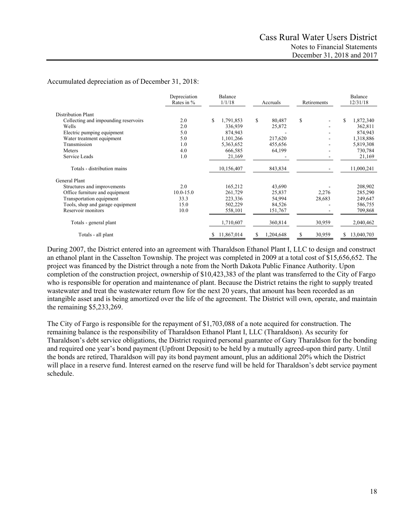### Accumulated depreciation as of December 31, 2018:

|                                      | Depreciation<br>Rates in % | Balance<br>1/1/18 | Accruals       | Retirements | Balance<br>12/31/18 |  |
|--------------------------------------|----------------------------|-------------------|----------------|-------------|---------------------|--|
| <b>Distribution Plant</b>            |                            |                   |                |             |                     |  |
| Collecting and impounding reservoirs | 2.0                        | \$<br>1,791,853   | \$<br>80,487   | \$          | \$<br>1,872,340     |  |
| Wells                                | 2.0                        | 336,939           | 25,872         |             | 362,811             |  |
| Electric pumping equipment           | 5.0                        | 874,943           |                |             | 874,943             |  |
| Water treatment equipment            | 5.0                        | 1,101,266         | 217,620        |             | 1,318,886           |  |
| Transmission                         | 1.0                        | 5,363,652         | 455,656        |             | 5,819,308           |  |
| Meters                               | 4.0                        | 666,585           | 64,199         |             | 730,784             |  |
| Service Leads                        | 1.0                        | 21,169            |                |             | 21,169              |  |
| Totals - distribution mains          |                            | 10,156,407        | 843,834        |             | 11,000,241          |  |
| General Plant                        |                            |                   |                |             |                     |  |
| Structures and improvements          | 2.0                        | 165,212           | 43,690         |             | 208,902             |  |
| Office furniture and equipment       | $10.0 - 15.0$              | 261,729           | 25,837         | 2,276       | 285,290             |  |
| Transportation equipment             | 33.3                       | 223,336           | 54,994         | 28,683      | 249,647             |  |
| Tools, shop and garage equipment     | 15.0                       | 502,229           | 84,526         |             | 586,755             |  |
| Reservoir monitors                   | 10.0                       | 558,101           | 151,767        |             | 709,868             |  |
| Totals - general plant               |                            | 1,710,607         | 360,814        | 30,959      | 2,040,462           |  |
| Totals - all plant                   |                            | 11,867,014        | 1,204,648<br>S | 30,959<br>S | 13,040,703          |  |

During 2007, the District entered into an agreement with Tharaldson Ethanol Plant I, LLC to design and construct an ethanol plant in the Casselton Township. The project was completed in 2009 at a total cost of \$15,656,652. The project was financed by the District through a note from the North Dakota Public Finance Authority. Upon completion of the construction project, ownership of \$10,423,383 of the plant was transferred to the City of Fargo who is responsible for operation and maintenance of plant. Because the District retains the right to supply treated wastewater and treat the wastewater return flow for the next 20 years, that amount has been recorded as an intangible asset and is being amortized over the life of the agreement. The District will own, operate, and maintain the remaining \$5,233,269.

The City of Fargo is responsible for the repayment of \$1,703,088 of a note acquired for construction. The remaining balance is the responsibility of Tharaldson Ethanol Plant I, LLC (Tharaldson). As security for Tharaldson's debt service obligations, the District required personal guarantee of Gary Tharaldson for the bonding and required one year's bond payment (Upfront Deposit) to be held by a mutually agreed-upon third party. Until the bonds are retired, Tharaldson will pay its bond payment amount, plus an additional 20% which the District will place in a reserve fund. Interest earned on the reserve fund will be held for Tharaldson's debt service payment schedule.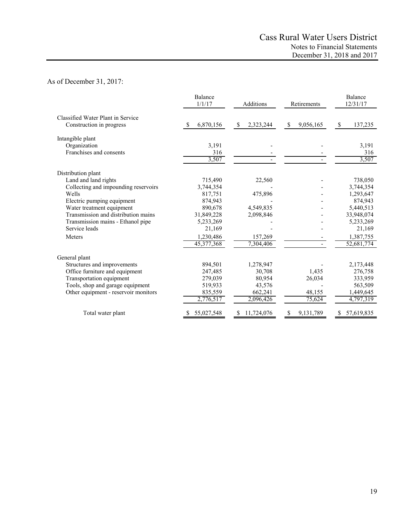# As of December 31, 2017:

|                                      | Balance<br>1/1/17     | Additions       | Retirements               | Balance<br>12/31/17      |
|--------------------------------------|-----------------------|-----------------|---------------------------|--------------------------|
| Classified Water Plant in Service    |                       |                 |                           |                          |
| Construction in progress             | 6,870,156<br><b>S</b> | S.<br>2,323,244 | 9,056,165<br><sup>S</sup> | <sup>\$</sup><br>137,235 |
| Intangible plant                     |                       |                 |                           |                          |
| Organization                         | 3,191                 |                 |                           | 3,191                    |
| Franchises and consents              | 316                   |                 |                           | 316                      |
|                                      | 3,507                 |                 |                           | 3,507                    |
| Distribution plant                   |                       |                 |                           |                          |
| Land and land rights                 | 715,490               | 22,560          |                           | 738,050                  |
| Collecting and impounding reservoirs | 3,744,354             |                 |                           | 3,744,354                |
| Wells                                | 817,751               | 475,896         |                           | 1,293,647                |
| Electric pumping equipment           | 874,943               |                 |                           | 874,943                  |
| Water treatment equipment            | 890,678               | 4,549,835       |                           | 5,440,513                |
| Transmission and distribution mains  | 31,849,228            | 2,098,846       |                           | 33,948,074               |
| Transmission mains - Ethanol pipe    | 5,233,269             |                 |                           | 5,233,269                |
| Service leads                        | 21,169                |                 |                           | 21,169                   |
| Meters                               | 1,230,486             | 157,269         |                           | 1,387,755                |
|                                      | 45,377,368            | 7,304,406       |                           | 52,681,774               |
| General plant                        |                       |                 |                           |                          |
| Structures and improvements          | 894,501               | 1,278,947       |                           | 2,173,448                |
| Office furniture and equipment       | 247,485               | 30,708          | 1,435                     | 276,758                  |
| Transportation equipment             | 279,039               | 80,954          | 26,034                    | 333,959                  |
| Tools, shop and garage equipment     | 519,933               | 43,576          |                           | 563,509                  |
| Other equipment - reservoir monitors | 835,559               | 662,241         | 48,155                    | 1,449,645                |
|                                      | 2,776,517             | 2,096,426       | 75,624                    | 4,797,319                |
| Total water plant                    | 55,027,548            | 11,724,076      | 9,131,789                 | 57,619,835               |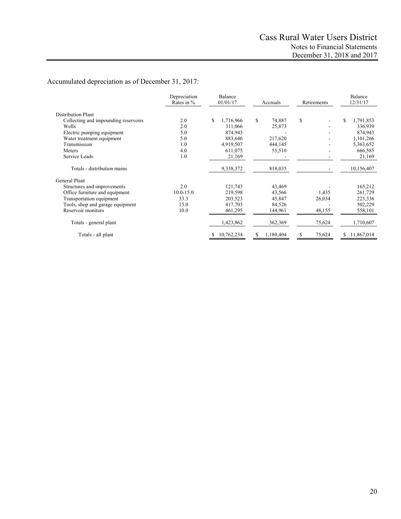# Accumulated depreciation as of December 31, 2017:

|                                      | Depreciation<br>Rates in % | Balance<br>01/01/17 |              | Retirements | Balance<br>12/31/17 |  |
|--------------------------------------|----------------------------|---------------------|--------------|-------------|---------------------|--|
| <b>Distribution Plant</b>            |                            |                     |              |             |                     |  |
| Collecting and impounding reservoirs | 2.0                        | S<br>1,716,966      | \$<br>74,887 | \$          | \$<br>1,791,853     |  |
| Wells                                | 2.0                        | 311,066             | 25,873       |             | 336,939             |  |
| Electric pumping equipment           | 5.0                        | 874,943             |              |             | 874,943             |  |
| Water treatment equipment            | 5.0                        | 883,646             | 217,620      |             | 1,101,266           |  |
| Transmission                         | 1.0                        | 4,919,507           | 444,145      |             | 5,363,652           |  |
| Meters                               | 4.0                        | 611,075             | 55,510       |             | 666,585             |  |
| Service Leads                        | 1.0                        | 21,169              |              |             | 21,169              |  |
| Totals - distribution mains          |                            | 9,338,372           | 818,035      |             | 10,156,407          |  |
| General Plant                        |                            |                     |              |             |                     |  |
| Structures and improvements          | 2.0                        | 121,743             | 43,469       |             | 165,212             |  |
| Office furniture and equipment       | $10.0 - 15.0$              | 219,598             | 43,566       | 1,435       | 261,729             |  |
| Transportation equipment             | 33.3                       | 203,523             | 45,847       | 26,034      | 223,336             |  |
| Tools, shop and garage equipment     | 15.0                       | 417,703             | 84,526       |             | 502,229             |  |
| Reservoir monitors                   | 10.0                       | 461,295             | 144,961      | 48,155      | 558,101             |  |
| Totals - general plant               |                            | 1,423,862           | 362,369      | 75,624      | 1,710,607           |  |
| Totals - all plant                   |                            | 10,762,234          | 1,180,404    | 75,624<br>ъ | 11,867,014<br>\$    |  |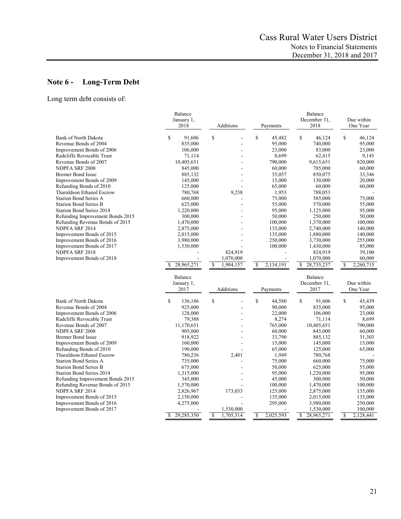# **Note 6 - Long-Term Debt**

Long term debt consists of:

| January 1,<br>December 31,<br>Due within<br>2018<br>Additions<br>One Year<br>Payments<br>2018<br>\$<br>\$<br>\$<br>\$<br>\$<br>46,124<br><b>Bank of North Dakota</b><br>91,606<br>45,482<br>46,124<br>Revenue Bonds of 2004<br>835,000<br>95,000<br>740,000<br>95,000<br>23,000<br>83,000<br>Improvement Bonds of 2006<br>106,000<br>23,000<br>8,699<br>Radcliffe Revocable Trust<br>71,114<br>62,415<br>9,145<br>790,000<br>9,615,651<br>820,000<br>Revenue Bonds of 2007<br>10,405,651<br>60,000<br>NDPFA SRF 2008<br>845,000<br>60,000<br>785,000<br>35,057<br>850,075<br><b>Bremer Bond Issue</b><br>885,132<br>33,346<br>145,000<br>15,000<br>20,000<br>Improvement Bonds of 2009<br>130,000<br>125,000<br>65,000<br>60,000<br>60,000<br>Refunding Bonds of 2010<br>Tharaldson Ethanol Escrow<br>780,768<br>9,238<br>1,953<br>788,053<br>75,000<br>585,000<br>75,000<br><b>Starion Bond Series A</b><br>660,000<br>55,000<br>55,000<br><b>Starion Bond Series B</b><br>625,000<br>570,000<br>95,000<br><b>Starion Bond Series 2014</b><br>1,220,000<br>95,000<br>1,125,000<br>50,000<br>50,000<br>Refunding Improvement Bonds 2015<br>300,000<br>250,000<br>100,000<br>100,000<br>Refunding Revenue Bonds of 2015<br>1,470,000<br>1,370,000<br>NDPFA SRF 2014<br>135,000<br>140,000<br>2,875,000<br>2,740,000<br>Improvement Bonds of 2015<br>135,000<br>1,880,000<br>140,000<br>2,015,000<br>3,980,000<br>250,000<br>255,000<br>Improvement Bonds of 2016<br>3,730,000<br>85,000<br>Improvement Bonds of 2017<br>1,530,000<br>100,000<br>1,430,000<br>NDPFA SRF 2018<br>824,919<br>824,919<br>39,100<br>Improvement Bonds of 2018<br>1,070,000<br>60,000<br>1,070,000<br>28,965,271<br>\$<br>1,904,157<br><sup>\$</sup><br>2,134,191<br>S<br>28,735,237<br>\$<br>2,260,715<br>Balance<br>Balance<br>December 31,<br>Due within<br>January 1,<br>2017<br>Additions<br>2017<br>One Year<br>Payments<br>\$<br>\$<br>Bank of North Dakota<br>\$<br>44,580<br>\$<br>91,606<br>\$<br>136,186<br>45,439<br>90,000<br>Revenue Bonds of 2004<br>925,000<br>835,000<br>95,000<br>22,000<br>Improvement Bonds of 2006<br>128,000<br>106,000<br>23,000<br>8,699<br>Radcliffe Revocable Trust<br>79,388<br>8,274<br>71,114<br>765,000<br>Revenue Bonds of 2007<br>11,170,651<br>10,405,651<br>790,000<br>60,000<br>NDPFA SRF 2008<br>905,000<br>60,000<br>845,000<br>33,790<br><b>Bremer Bond Issue</b><br>918,922<br>885,132<br>31,303<br>15,000<br>145,000<br>Improvement Bonds of 2009<br>160,000<br>15,000<br>Refunding Bonds of 2010<br>190,000<br>65,000<br>125,000<br>65,000<br>1,949<br>Tharaldson Ethanol Escrow<br>780,236<br>2,481<br>780,768<br><b>Starion Bond Series A</b><br>75,000<br>75,000<br>735,000<br>660,000<br>50,000<br>625,000<br>55,000<br><b>Starion Bond Series B</b><br>675,000<br>95,000<br>95,000<br><b>Starion Bond Series 2014</b><br>1,315,000<br>1,220,000<br>45,000<br>50,000<br>Refunding Improvement Bonds 2015<br>345,000<br>300,000<br>100,000<br>100,000<br>Refunding Revenue Bonds of 2015<br>1,570,000<br>1,470,000<br>NDPFA SRF 2014<br>125,000<br>135,000<br>2,826,967<br>173,033<br>2,875,000<br>Improvement Bonds of 2015<br>2,150,000<br>135,000<br>2,015,000<br>135,000<br>295,000<br>250,000<br>Improvement Bonds of 2016<br>4,275,000<br>3,980,000<br>1,530,000<br>100,000<br>Improvement Bonds of 2017<br>1,530,000<br>29,285,350<br>2,025,593<br><b>S</b><br>\$<br>1.705.514<br>\$<br>S.<br>28,965,271<br>\$<br>2,128,441 | Balance |  | Balance |  |  |
|-------------------------------------------------------------------------------------------------------------------------------------------------------------------------------------------------------------------------------------------------------------------------------------------------------------------------------------------------------------------------------------------------------------------------------------------------------------------------------------------------------------------------------------------------------------------------------------------------------------------------------------------------------------------------------------------------------------------------------------------------------------------------------------------------------------------------------------------------------------------------------------------------------------------------------------------------------------------------------------------------------------------------------------------------------------------------------------------------------------------------------------------------------------------------------------------------------------------------------------------------------------------------------------------------------------------------------------------------------------------------------------------------------------------------------------------------------------------------------------------------------------------------------------------------------------------------------------------------------------------------------------------------------------------------------------------------------------------------------------------------------------------------------------------------------------------------------------------------------------------------------------------------------------------------------------------------------------------------------------------------------------------------------------------------------------------------------------------------------------------------------------------------------------------------------------------------------------------------------------------------------------------------------------------------------------------------------------------------------------------------------------------------------------------------------------------------------------------------------------------------------------------------------------------------------------------------------------------------------------------------------------------------------------------------------------------------------------------------------------------------------------------------------------------------------------------------------------------------------------------------------------------------------------------------------------------------------------------------------------------------------------------------------------------------------------------------------------------------------------------------------------------------------------------------------------------------------------------------------------------------------------------------------------------------------------------------------------------------------------------------------------------------------------------------------------------------------------------------|---------|--|---------|--|--|
|                                                                                                                                                                                                                                                                                                                                                                                                                                                                                                                                                                                                                                                                                                                                                                                                                                                                                                                                                                                                                                                                                                                                                                                                                                                                                                                                                                                                                                                                                                                                                                                                                                                                                                                                                                                                                                                                                                                                                                                                                                                                                                                                                                                                                                                                                                                                                                                                                                                                                                                                                                                                                                                                                                                                                                                                                                                                                                                                                                                                                                                                                                                                                                                                                                                                                                                                                                                                                                                                         |         |  |         |  |  |
|                                                                                                                                                                                                                                                                                                                                                                                                                                                                                                                                                                                                                                                                                                                                                                                                                                                                                                                                                                                                                                                                                                                                                                                                                                                                                                                                                                                                                                                                                                                                                                                                                                                                                                                                                                                                                                                                                                                                                                                                                                                                                                                                                                                                                                                                                                                                                                                                                                                                                                                                                                                                                                                                                                                                                                                                                                                                                                                                                                                                                                                                                                                                                                                                                                                                                                                                                                                                                                                                         |         |  |         |  |  |
|                                                                                                                                                                                                                                                                                                                                                                                                                                                                                                                                                                                                                                                                                                                                                                                                                                                                                                                                                                                                                                                                                                                                                                                                                                                                                                                                                                                                                                                                                                                                                                                                                                                                                                                                                                                                                                                                                                                                                                                                                                                                                                                                                                                                                                                                                                                                                                                                                                                                                                                                                                                                                                                                                                                                                                                                                                                                                                                                                                                                                                                                                                                                                                                                                                                                                                                                                                                                                                                                         |         |  |         |  |  |
|                                                                                                                                                                                                                                                                                                                                                                                                                                                                                                                                                                                                                                                                                                                                                                                                                                                                                                                                                                                                                                                                                                                                                                                                                                                                                                                                                                                                                                                                                                                                                                                                                                                                                                                                                                                                                                                                                                                                                                                                                                                                                                                                                                                                                                                                                                                                                                                                                                                                                                                                                                                                                                                                                                                                                                                                                                                                                                                                                                                                                                                                                                                                                                                                                                                                                                                                                                                                                                                                         |         |  |         |  |  |
|                                                                                                                                                                                                                                                                                                                                                                                                                                                                                                                                                                                                                                                                                                                                                                                                                                                                                                                                                                                                                                                                                                                                                                                                                                                                                                                                                                                                                                                                                                                                                                                                                                                                                                                                                                                                                                                                                                                                                                                                                                                                                                                                                                                                                                                                                                                                                                                                                                                                                                                                                                                                                                                                                                                                                                                                                                                                                                                                                                                                                                                                                                                                                                                                                                                                                                                                                                                                                                                                         |         |  |         |  |  |
|                                                                                                                                                                                                                                                                                                                                                                                                                                                                                                                                                                                                                                                                                                                                                                                                                                                                                                                                                                                                                                                                                                                                                                                                                                                                                                                                                                                                                                                                                                                                                                                                                                                                                                                                                                                                                                                                                                                                                                                                                                                                                                                                                                                                                                                                                                                                                                                                                                                                                                                                                                                                                                                                                                                                                                                                                                                                                                                                                                                                                                                                                                                                                                                                                                                                                                                                                                                                                                                                         |         |  |         |  |  |
|                                                                                                                                                                                                                                                                                                                                                                                                                                                                                                                                                                                                                                                                                                                                                                                                                                                                                                                                                                                                                                                                                                                                                                                                                                                                                                                                                                                                                                                                                                                                                                                                                                                                                                                                                                                                                                                                                                                                                                                                                                                                                                                                                                                                                                                                                                                                                                                                                                                                                                                                                                                                                                                                                                                                                                                                                                                                                                                                                                                                                                                                                                                                                                                                                                                                                                                                                                                                                                                                         |         |  |         |  |  |
|                                                                                                                                                                                                                                                                                                                                                                                                                                                                                                                                                                                                                                                                                                                                                                                                                                                                                                                                                                                                                                                                                                                                                                                                                                                                                                                                                                                                                                                                                                                                                                                                                                                                                                                                                                                                                                                                                                                                                                                                                                                                                                                                                                                                                                                                                                                                                                                                                                                                                                                                                                                                                                                                                                                                                                                                                                                                                                                                                                                                                                                                                                                                                                                                                                                                                                                                                                                                                                                                         |         |  |         |  |  |
|                                                                                                                                                                                                                                                                                                                                                                                                                                                                                                                                                                                                                                                                                                                                                                                                                                                                                                                                                                                                                                                                                                                                                                                                                                                                                                                                                                                                                                                                                                                                                                                                                                                                                                                                                                                                                                                                                                                                                                                                                                                                                                                                                                                                                                                                                                                                                                                                                                                                                                                                                                                                                                                                                                                                                                                                                                                                                                                                                                                                                                                                                                                                                                                                                                                                                                                                                                                                                                                                         |         |  |         |  |  |
|                                                                                                                                                                                                                                                                                                                                                                                                                                                                                                                                                                                                                                                                                                                                                                                                                                                                                                                                                                                                                                                                                                                                                                                                                                                                                                                                                                                                                                                                                                                                                                                                                                                                                                                                                                                                                                                                                                                                                                                                                                                                                                                                                                                                                                                                                                                                                                                                                                                                                                                                                                                                                                                                                                                                                                                                                                                                                                                                                                                                                                                                                                                                                                                                                                                                                                                                                                                                                                                                         |         |  |         |  |  |
|                                                                                                                                                                                                                                                                                                                                                                                                                                                                                                                                                                                                                                                                                                                                                                                                                                                                                                                                                                                                                                                                                                                                                                                                                                                                                                                                                                                                                                                                                                                                                                                                                                                                                                                                                                                                                                                                                                                                                                                                                                                                                                                                                                                                                                                                                                                                                                                                                                                                                                                                                                                                                                                                                                                                                                                                                                                                                                                                                                                                                                                                                                                                                                                                                                                                                                                                                                                                                                                                         |         |  |         |  |  |
|                                                                                                                                                                                                                                                                                                                                                                                                                                                                                                                                                                                                                                                                                                                                                                                                                                                                                                                                                                                                                                                                                                                                                                                                                                                                                                                                                                                                                                                                                                                                                                                                                                                                                                                                                                                                                                                                                                                                                                                                                                                                                                                                                                                                                                                                                                                                                                                                                                                                                                                                                                                                                                                                                                                                                                                                                                                                                                                                                                                                                                                                                                                                                                                                                                                                                                                                                                                                                                                                         |         |  |         |  |  |
|                                                                                                                                                                                                                                                                                                                                                                                                                                                                                                                                                                                                                                                                                                                                                                                                                                                                                                                                                                                                                                                                                                                                                                                                                                                                                                                                                                                                                                                                                                                                                                                                                                                                                                                                                                                                                                                                                                                                                                                                                                                                                                                                                                                                                                                                                                                                                                                                                                                                                                                                                                                                                                                                                                                                                                                                                                                                                                                                                                                                                                                                                                                                                                                                                                                                                                                                                                                                                                                                         |         |  |         |  |  |
|                                                                                                                                                                                                                                                                                                                                                                                                                                                                                                                                                                                                                                                                                                                                                                                                                                                                                                                                                                                                                                                                                                                                                                                                                                                                                                                                                                                                                                                                                                                                                                                                                                                                                                                                                                                                                                                                                                                                                                                                                                                                                                                                                                                                                                                                                                                                                                                                                                                                                                                                                                                                                                                                                                                                                                                                                                                                                                                                                                                                                                                                                                                                                                                                                                                                                                                                                                                                                                                                         |         |  |         |  |  |
|                                                                                                                                                                                                                                                                                                                                                                                                                                                                                                                                                                                                                                                                                                                                                                                                                                                                                                                                                                                                                                                                                                                                                                                                                                                                                                                                                                                                                                                                                                                                                                                                                                                                                                                                                                                                                                                                                                                                                                                                                                                                                                                                                                                                                                                                                                                                                                                                                                                                                                                                                                                                                                                                                                                                                                                                                                                                                                                                                                                                                                                                                                                                                                                                                                                                                                                                                                                                                                                                         |         |  |         |  |  |
|                                                                                                                                                                                                                                                                                                                                                                                                                                                                                                                                                                                                                                                                                                                                                                                                                                                                                                                                                                                                                                                                                                                                                                                                                                                                                                                                                                                                                                                                                                                                                                                                                                                                                                                                                                                                                                                                                                                                                                                                                                                                                                                                                                                                                                                                                                                                                                                                                                                                                                                                                                                                                                                                                                                                                                                                                                                                                                                                                                                                                                                                                                                                                                                                                                                                                                                                                                                                                                                                         |         |  |         |  |  |
|                                                                                                                                                                                                                                                                                                                                                                                                                                                                                                                                                                                                                                                                                                                                                                                                                                                                                                                                                                                                                                                                                                                                                                                                                                                                                                                                                                                                                                                                                                                                                                                                                                                                                                                                                                                                                                                                                                                                                                                                                                                                                                                                                                                                                                                                                                                                                                                                                                                                                                                                                                                                                                                                                                                                                                                                                                                                                                                                                                                                                                                                                                                                                                                                                                                                                                                                                                                                                                                                         |         |  |         |  |  |
|                                                                                                                                                                                                                                                                                                                                                                                                                                                                                                                                                                                                                                                                                                                                                                                                                                                                                                                                                                                                                                                                                                                                                                                                                                                                                                                                                                                                                                                                                                                                                                                                                                                                                                                                                                                                                                                                                                                                                                                                                                                                                                                                                                                                                                                                                                                                                                                                                                                                                                                                                                                                                                                                                                                                                                                                                                                                                                                                                                                                                                                                                                                                                                                                                                                                                                                                                                                                                                                                         |         |  |         |  |  |
|                                                                                                                                                                                                                                                                                                                                                                                                                                                                                                                                                                                                                                                                                                                                                                                                                                                                                                                                                                                                                                                                                                                                                                                                                                                                                                                                                                                                                                                                                                                                                                                                                                                                                                                                                                                                                                                                                                                                                                                                                                                                                                                                                                                                                                                                                                                                                                                                                                                                                                                                                                                                                                                                                                                                                                                                                                                                                                                                                                                                                                                                                                                                                                                                                                                                                                                                                                                                                                                                         |         |  |         |  |  |
|                                                                                                                                                                                                                                                                                                                                                                                                                                                                                                                                                                                                                                                                                                                                                                                                                                                                                                                                                                                                                                                                                                                                                                                                                                                                                                                                                                                                                                                                                                                                                                                                                                                                                                                                                                                                                                                                                                                                                                                                                                                                                                                                                                                                                                                                                                                                                                                                                                                                                                                                                                                                                                                                                                                                                                                                                                                                                                                                                                                                                                                                                                                                                                                                                                                                                                                                                                                                                                                                         |         |  |         |  |  |
|                                                                                                                                                                                                                                                                                                                                                                                                                                                                                                                                                                                                                                                                                                                                                                                                                                                                                                                                                                                                                                                                                                                                                                                                                                                                                                                                                                                                                                                                                                                                                                                                                                                                                                                                                                                                                                                                                                                                                                                                                                                                                                                                                                                                                                                                                                                                                                                                                                                                                                                                                                                                                                                                                                                                                                                                                                                                                                                                                                                                                                                                                                                                                                                                                                                                                                                                                                                                                                                                         |         |  |         |  |  |
|                                                                                                                                                                                                                                                                                                                                                                                                                                                                                                                                                                                                                                                                                                                                                                                                                                                                                                                                                                                                                                                                                                                                                                                                                                                                                                                                                                                                                                                                                                                                                                                                                                                                                                                                                                                                                                                                                                                                                                                                                                                                                                                                                                                                                                                                                                                                                                                                                                                                                                                                                                                                                                                                                                                                                                                                                                                                                                                                                                                                                                                                                                                                                                                                                                                                                                                                                                                                                                                                         |         |  |         |  |  |
|                                                                                                                                                                                                                                                                                                                                                                                                                                                                                                                                                                                                                                                                                                                                                                                                                                                                                                                                                                                                                                                                                                                                                                                                                                                                                                                                                                                                                                                                                                                                                                                                                                                                                                                                                                                                                                                                                                                                                                                                                                                                                                                                                                                                                                                                                                                                                                                                                                                                                                                                                                                                                                                                                                                                                                                                                                                                                                                                                                                                                                                                                                                                                                                                                                                                                                                                                                                                                                                                         |         |  |         |  |  |
|                                                                                                                                                                                                                                                                                                                                                                                                                                                                                                                                                                                                                                                                                                                                                                                                                                                                                                                                                                                                                                                                                                                                                                                                                                                                                                                                                                                                                                                                                                                                                                                                                                                                                                                                                                                                                                                                                                                                                                                                                                                                                                                                                                                                                                                                                                                                                                                                                                                                                                                                                                                                                                                                                                                                                                                                                                                                                                                                                                                                                                                                                                                                                                                                                                                                                                                                                                                                                                                                         |         |  |         |  |  |
|                                                                                                                                                                                                                                                                                                                                                                                                                                                                                                                                                                                                                                                                                                                                                                                                                                                                                                                                                                                                                                                                                                                                                                                                                                                                                                                                                                                                                                                                                                                                                                                                                                                                                                                                                                                                                                                                                                                                                                                                                                                                                                                                                                                                                                                                                                                                                                                                                                                                                                                                                                                                                                                                                                                                                                                                                                                                                                                                                                                                                                                                                                                                                                                                                                                                                                                                                                                                                                                                         |         |  |         |  |  |
|                                                                                                                                                                                                                                                                                                                                                                                                                                                                                                                                                                                                                                                                                                                                                                                                                                                                                                                                                                                                                                                                                                                                                                                                                                                                                                                                                                                                                                                                                                                                                                                                                                                                                                                                                                                                                                                                                                                                                                                                                                                                                                                                                                                                                                                                                                                                                                                                                                                                                                                                                                                                                                                                                                                                                                                                                                                                                                                                                                                                                                                                                                                                                                                                                                                                                                                                                                                                                                                                         |         |  |         |  |  |
|                                                                                                                                                                                                                                                                                                                                                                                                                                                                                                                                                                                                                                                                                                                                                                                                                                                                                                                                                                                                                                                                                                                                                                                                                                                                                                                                                                                                                                                                                                                                                                                                                                                                                                                                                                                                                                                                                                                                                                                                                                                                                                                                                                                                                                                                                                                                                                                                                                                                                                                                                                                                                                                                                                                                                                                                                                                                                                                                                                                                                                                                                                                                                                                                                                                                                                                                                                                                                                                                         |         |  |         |  |  |
|                                                                                                                                                                                                                                                                                                                                                                                                                                                                                                                                                                                                                                                                                                                                                                                                                                                                                                                                                                                                                                                                                                                                                                                                                                                                                                                                                                                                                                                                                                                                                                                                                                                                                                                                                                                                                                                                                                                                                                                                                                                                                                                                                                                                                                                                                                                                                                                                                                                                                                                                                                                                                                                                                                                                                                                                                                                                                                                                                                                                                                                                                                                                                                                                                                                                                                                                                                                                                                                                         |         |  |         |  |  |
|                                                                                                                                                                                                                                                                                                                                                                                                                                                                                                                                                                                                                                                                                                                                                                                                                                                                                                                                                                                                                                                                                                                                                                                                                                                                                                                                                                                                                                                                                                                                                                                                                                                                                                                                                                                                                                                                                                                                                                                                                                                                                                                                                                                                                                                                                                                                                                                                                                                                                                                                                                                                                                                                                                                                                                                                                                                                                                                                                                                                                                                                                                                                                                                                                                                                                                                                                                                                                                                                         |         |  |         |  |  |
|                                                                                                                                                                                                                                                                                                                                                                                                                                                                                                                                                                                                                                                                                                                                                                                                                                                                                                                                                                                                                                                                                                                                                                                                                                                                                                                                                                                                                                                                                                                                                                                                                                                                                                                                                                                                                                                                                                                                                                                                                                                                                                                                                                                                                                                                                                                                                                                                                                                                                                                                                                                                                                                                                                                                                                                                                                                                                                                                                                                                                                                                                                                                                                                                                                                                                                                                                                                                                                                                         |         |  |         |  |  |
|                                                                                                                                                                                                                                                                                                                                                                                                                                                                                                                                                                                                                                                                                                                                                                                                                                                                                                                                                                                                                                                                                                                                                                                                                                                                                                                                                                                                                                                                                                                                                                                                                                                                                                                                                                                                                                                                                                                                                                                                                                                                                                                                                                                                                                                                                                                                                                                                                                                                                                                                                                                                                                                                                                                                                                                                                                                                                                                                                                                                                                                                                                                                                                                                                                                                                                                                                                                                                                                                         |         |  |         |  |  |
|                                                                                                                                                                                                                                                                                                                                                                                                                                                                                                                                                                                                                                                                                                                                                                                                                                                                                                                                                                                                                                                                                                                                                                                                                                                                                                                                                                                                                                                                                                                                                                                                                                                                                                                                                                                                                                                                                                                                                                                                                                                                                                                                                                                                                                                                                                                                                                                                                                                                                                                                                                                                                                                                                                                                                                                                                                                                                                                                                                                                                                                                                                                                                                                                                                                                                                                                                                                                                                                                         |         |  |         |  |  |
|                                                                                                                                                                                                                                                                                                                                                                                                                                                                                                                                                                                                                                                                                                                                                                                                                                                                                                                                                                                                                                                                                                                                                                                                                                                                                                                                                                                                                                                                                                                                                                                                                                                                                                                                                                                                                                                                                                                                                                                                                                                                                                                                                                                                                                                                                                                                                                                                                                                                                                                                                                                                                                                                                                                                                                                                                                                                                                                                                                                                                                                                                                                                                                                                                                                                                                                                                                                                                                                                         |         |  |         |  |  |
|                                                                                                                                                                                                                                                                                                                                                                                                                                                                                                                                                                                                                                                                                                                                                                                                                                                                                                                                                                                                                                                                                                                                                                                                                                                                                                                                                                                                                                                                                                                                                                                                                                                                                                                                                                                                                                                                                                                                                                                                                                                                                                                                                                                                                                                                                                                                                                                                                                                                                                                                                                                                                                                                                                                                                                                                                                                                                                                                                                                                                                                                                                                                                                                                                                                                                                                                                                                                                                                                         |         |  |         |  |  |
|                                                                                                                                                                                                                                                                                                                                                                                                                                                                                                                                                                                                                                                                                                                                                                                                                                                                                                                                                                                                                                                                                                                                                                                                                                                                                                                                                                                                                                                                                                                                                                                                                                                                                                                                                                                                                                                                                                                                                                                                                                                                                                                                                                                                                                                                                                                                                                                                                                                                                                                                                                                                                                                                                                                                                                                                                                                                                                                                                                                                                                                                                                                                                                                                                                                                                                                                                                                                                                                                         |         |  |         |  |  |
|                                                                                                                                                                                                                                                                                                                                                                                                                                                                                                                                                                                                                                                                                                                                                                                                                                                                                                                                                                                                                                                                                                                                                                                                                                                                                                                                                                                                                                                                                                                                                                                                                                                                                                                                                                                                                                                                                                                                                                                                                                                                                                                                                                                                                                                                                                                                                                                                                                                                                                                                                                                                                                                                                                                                                                                                                                                                                                                                                                                                                                                                                                                                                                                                                                                                                                                                                                                                                                                                         |         |  |         |  |  |
|                                                                                                                                                                                                                                                                                                                                                                                                                                                                                                                                                                                                                                                                                                                                                                                                                                                                                                                                                                                                                                                                                                                                                                                                                                                                                                                                                                                                                                                                                                                                                                                                                                                                                                                                                                                                                                                                                                                                                                                                                                                                                                                                                                                                                                                                                                                                                                                                                                                                                                                                                                                                                                                                                                                                                                                                                                                                                                                                                                                                                                                                                                                                                                                                                                                                                                                                                                                                                                                                         |         |  |         |  |  |
|                                                                                                                                                                                                                                                                                                                                                                                                                                                                                                                                                                                                                                                                                                                                                                                                                                                                                                                                                                                                                                                                                                                                                                                                                                                                                                                                                                                                                                                                                                                                                                                                                                                                                                                                                                                                                                                                                                                                                                                                                                                                                                                                                                                                                                                                                                                                                                                                                                                                                                                                                                                                                                                                                                                                                                                                                                                                                                                                                                                                                                                                                                                                                                                                                                                                                                                                                                                                                                                                         |         |  |         |  |  |
|                                                                                                                                                                                                                                                                                                                                                                                                                                                                                                                                                                                                                                                                                                                                                                                                                                                                                                                                                                                                                                                                                                                                                                                                                                                                                                                                                                                                                                                                                                                                                                                                                                                                                                                                                                                                                                                                                                                                                                                                                                                                                                                                                                                                                                                                                                                                                                                                                                                                                                                                                                                                                                                                                                                                                                                                                                                                                                                                                                                                                                                                                                                                                                                                                                                                                                                                                                                                                                                                         |         |  |         |  |  |
|                                                                                                                                                                                                                                                                                                                                                                                                                                                                                                                                                                                                                                                                                                                                                                                                                                                                                                                                                                                                                                                                                                                                                                                                                                                                                                                                                                                                                                                                                                                                                                                                                                                                                                                                                                                                                                                                                                                                                                                                                                                                                                                                                                                                                                                                                                                                                                                                                                                                                                                                                                                                                                                                                                                                                                                                                                                                                                                                                                                                                                                                                                                                                                                                                                                                                                                                                                                                                                                                         |         |  |         |  |  |
|                                                                                                                                                                                                                                                                                                                                                                                                                                                                                                                                                                                                                                                                                                                                                                                                                                                                                                                                                                                                                                                                                                                                                                                                                                                                                                                                                                                                                                                                                                                                                                                                                                                                                                                                                                                                                                                                                                                                                                                                                                                                                                                                                                                                                                                                                                                                                                                                                                                                                                                                                                                                                                                                                                                                                                                                                                                                                                                                                                                                                                                                                                                                                                                                                                                                                                                                                                                                                                                                         |         |  |         |  |  |
|                                                                                                                                                                                                                                                                                                                                                                                                                                                                                                                                                                                                                                                                                                                                                                                                                                                                                                                                                                                                                                                                                                                                                                                                                                                                                                                                                                                                                                                                                                                                                                                                                                                                                                                                                                                                                                                                                                                                                                                                                                                                                                                                                                                                                                                                                                                                                                                                                                                                                                                                                                                                                                                                                                                                                                                                                                                                                                                                                                                                                                                                                                                                                                                                                                                                                                                                                                                                                                                                         |         |  |         |  |  |
|                                                                                                                                                                                                                                                                                                                                                                                                                                                                                                                                                                                                                                                                                                                                                                                                                                                                                                                                                                                                                                                                                                                                                                                                                                                                                                                                                                                                                                                                                                                                                                                                                                                                                                                                                                                                                                                                                                                                                                                                                                                                                                                                                                                                                                                                                                                                                                                                                                                                                                                                                                                                                                                                                                                                                                                                                                                                                                                                                                                                                                                                                                                                                                                                                                                                                                                                                                                                                                                                         |         |  |         |  |  |
|                                                                                                                                                                                                                                                                                                                                                                                                                                                                                                                                                                                                                                                                                                                                                                                                                                                                                                                                                                                                                                                                                                                                                                                                                                                                                                                                                                                                                                                                                                                                                                                                                                                                                                                                                                                                                                                                                                                                                                                                                                                                                                                                                                                                                                                                                                                                                                                                                                                                                                                                                                                                                                                                                                                                                                                                                                                                                                                                                                                                                                                                                                                                                                                                                                                                                                                                                                                                                                                                         |         |  |         |  |  |
|                                                                                                                                                                                                                                                                                                                                                                                                                                                                                                                                                                                                                                                                                                                                                                                                                                                                                                                                                                                                                                                                                                                                                                                                                                                                                                                                                                                                                                                                                                                                                                                                                                                                                                                                                                                                                                                                                                                                                                                                                                                                                                                                                                                                                                                                                                                                                                                                                                                                                                                                                                                                                                                                                                                                                                                                                                                                                                                                                                                                                                                                                                                                                                                                                                                                                                                                                                                                                                                                         |         |  |         |  |  |
|                                                                                                                                                                                                                                                                                                                                                                                                                                                                                                                                                                                                                                                                                                                                                                                                                                                                                                                                                                                                                                                                                                                                                                                                                                                                                                                                                                                                                                                                                                                                                                                                                                                                                                                                                                                                                                                                                                                                                                                                                                                                                                                                                                                                                                                                                                                                                                                                                                                                                                                                                                                                                                                                                                                                                                                                                                                                                                                                                                                                                                                                                                                                                                                                                                                                                                                                                                                                                                                                         |         |  |         |  |  |
|                                                                                                                                                                                                                                                                                                                                                                                                                                                                                                                                                                                                                                                                                                                                                                                                                                                                                                                                                                                                                                                                                                                                                                                                                                                                                                                                                                                                                                                                                                                                                                                                                                                                                                                                                                                                                                                                                                                                                                                                                                                                                                                                                                                                                                                                                                                                                                                                                                                                                                                                                                                                                                                                                                                                                                                                                                                                                                                                                                                                                                                                                                                                                                                                                                                                                                                                                                                                                                                                         |         |  |         |  |  |
|                                                                                                                                                                                                                                                                                                                                                                                                                                                                                                                                                                                                                                                                                                                                                                                                                                                                                                                                                                                                                                                                                                                                                                                                                                                                                                                                                                                                                                                                                                                                                                                                                                                                                                                                                                                                                                                                                                                                                                                                                                                                                                                                                                                                                                                                                                                                                                                                                                                                                                                                                                                                                                                                                                                                                                                                                                                                                                                                                                                                                                                                                                                                                                                                                                                                                                                                                                                                                                                                         |         |  |         |  |  |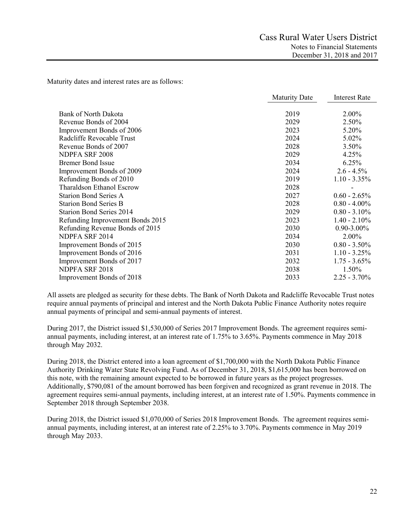Maturity dates and interest rates are as follows:

|                                  | <b>Maturity Date</b> | Interest Rate   |
|----------------------------------|----------------------|-----------------|
|                                  |                      |                 |
| Bank of North Dakota             | 2019                 | 2.00%           |
| Revenue Bonds of 2004            | 2029                 | 2.50%           |
| Improvement Bonds of 2006        | 2023                 | 5.20%           |
| Radcliffe Revocable Trust        | 2024                 | 5.02%           |
| Revenue Bonds of 2007            | 2028                 | 3.50%           |
| NDPFA SRF 2008                   | 2029                 | 4.25%           |
| <b>Bremer Bond Issue</b>         | 2034                 | 6.25%           |
| Improvement Bonds of 2009        | 2024                 | $2.6 - 4.5\%$   |
| Refunding Bonds of 2010          | 2019                 | $1.10 - 3.35\%$ |
| <b>Tharaldson Ethanol Escrow</b> | 2028                 |                 |
| <b>Starion Bond Series A</b>     | 2027                 | $0.60 - 2.65\%$ |
| <b>Starion Bond Series B</b>     | 2028                 | $0.80 - 4.00\%$ |
| <b>Starion Bond Series 2014</b>  | 2029                 | $0.80 - 3.10\%$ |
| Refunding Improvement Bonds 2015 | 2023                 | $1.40 - 2.10\%$ |
| Refunding Revenue Bonds of 2015  | 2030                 | $0.90 - 3.00\%$ |
| NDPFA SRF 2014                   | 2034                 | 2.00%           |
| Improvement Bonds of 2015        | 2030                 | $0.80 - 3.50\%$ |
| Improvement Bonds of 2016        | 2031                 | $1.10 - 3.25\%$ |
| Improvement Bonds of 2017        | 2032                 | $1.75 - 3.65\%$ |
| NDPFA SRF 2018                   | 2038                 | 1.50%           |
| Improvement Bonds of 2018        | 2033                 | $2.25 - 3.70\%$ |

All assets are pledged as security for these debts. The Bank of North Dakota and Radcliffe Revocable Trust notes require annual payments of principal and interest and the North Dakota Public Finance Authority notes require annual payments of principal and semi-annual payments of interest.

During 2017, the District issued \$1,530,000 of Series 2017 Improvement Bonds. The agreement requires semiannual payments, including interest, at an interest rate of 1.75% to 3.65%. Payments commence in May 2018 through May 2032.

During 2018, the District entered into a loan agreement of \$1,700,000 with the North Dakota Public Finance Authority Drinking Water State Revolving Fund. As of December 31, 2018, \$1,615,000 has been borrowed on this note, with the remaining amount expected to be borrowed in future years as the project progresses. Additionally, \$790,081 of the amount borrowed has been forgiven and recognized as grant revenue in 2018. The agreement requires semi-annual payments, including interest, at an interest rate of 1.50%. Payments commence in September 2018 through September 2038.

During 2018, the District issued \$1,070,000 of Series 2018 Improvement Bonds. The agreement requires semiannual payments, including interest, at an interest rate of 2.25% to 3.70%. Payments commence in May 2019 through May 2033.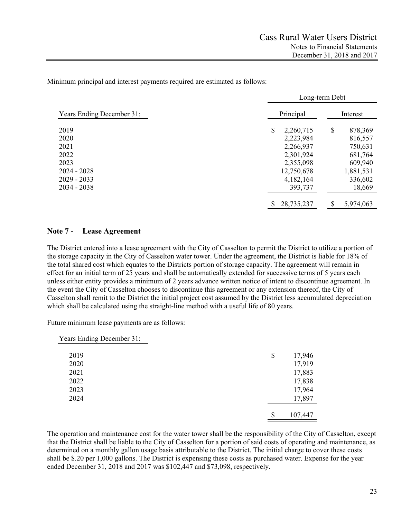Minimum principal and interest payments required are estimated as follows:

|                                  | Long-term Debt   |                 |  |  |  |  |
|----------------------------------|------------------|-----------------|--|--|--|--|
| <b>Years Ending December 31:</b> | Principal        | Interest        |  |  |  |  |
| 2019                             | \$<br>2,260,715  | \$<br>878,369   |  |  |  |  |
| 2020                             | 2,223,984        | 816,557         |  |  |  |  |
| 2021                             | 2,266,937        | 750,631         |  |  |  |  |
| 2022                             | 2,301,924        | 681,764         |  |  |  |  |
| 2023                             | 2,355,098        | 609,940         |  |  |  |  |
| $2024 - 2028$                    | 12,750,678       | 1,881,531       |  |  |  |  |
| $2029 - 2033$                    | 4,182,164        | 336,602         |  |  |  |  |
| $2034 - 2038$                    | 393,737          | 18,669          |  |  |  |  |
|                                  | \$<br>28,735,237 | \$<br>5,974,063 |  |  |  |  |

### **Note 7 - Lease Agreement**

The District entered into a lease agreement with the City of Casselton to permit the District to utilize a portion of the storage capacity in the City of Casselton water tower. Under the agreement, the District is liable for 18% of the total shared cost which equates to the Districts portion of storage capacity. The agreement will remain in effect for an initial term of 25 years and shall be automatically extended for successive terms of 5 years each unless either entity provides a minimum of 2 years advance written notice of intent to discontinue agreement. In the event the City of Casselton chooses to discontinue this agreement or any extension thereof, the City of Casselton shall remit to the District the initial project cost assumed by the District less accumulated depreciation which shall be calculated using the straight-line method with a useful life of 80 years.

Future minimum lease payments are as follows:

| Years Ending December 31: |               |
|---------------------------|---------------|
| 2019                      | \$<br>17,946  |
| 2020                      | 17,919        |
| 2021                      | 17,883        |
| 2022                      | 17,838        |
| 2023                      | 17,964        |
| 2024                      | 17,897        |
|                           | \$<br>107,447 |

The operation and maintenance cost for the water tower shall be the responsibility of the City of Casselton, except that the District shall be liable to the City of Casselton for a portion of said costs of operating and maintenance, as determined on a monthly gallon usage basis attributable to the District. The initial charge to cover these costs shall be \$.20 per 1,000 gallons. The District is expensing these costs as purchased water. Expense for the year ended December 31, 2018 and 2017 was \$102,447 and \$73,098, respectively.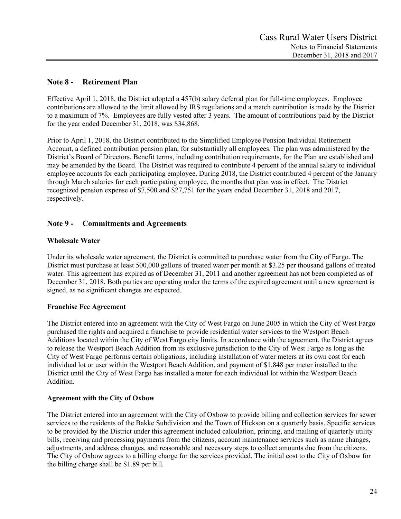## **Note 8 - Retirement Plan**

Effective April 1, 2018, the District adopted a 457(b) salary deferral plan for full-time employees. Employee contributions are allowed to the limit allowed by IRS regulations and a match contribution is made by the District to a maximum of 7%. Employees are fully vested after 3 years. The amount of contributions paid by the District for the year ended December 31, 2018, was \$34,868.

Prior to April 1, 2018, the District contributed to the Simplified Employee Pension Individual Retirement Account, a defined contribution pension plan, for substantially all employees. The plan was administered by the District's Board of Directors. Benefit terms, including contribution requirements, for the Plan are established and may be amended by the Board. The District was required to contribute 4 percent of the annual salary to individual employee accounts for each participating employee. During 2018, the District contributed 4 percent of the January through March salaries for each participating employee, the months that plan was in effect. The District recognized pension expense of \$7,500 and \$27,751 for the years ended December 31, 2018 and 2017, respectively.

## **Note 9 - Commitments and Agreements**

## **Wholesale Water**

Under its wholesale water agreement, the District is committed to purchase water from the City of Fargo. The District must purchase at least 500,000 gallons of treated water per month at \$3.25 per thousand gallons of treated water. This agreement has expired as of December 31, 2011 and another agreement has not been completed as of December 31, 2018. Both parties are operating under the terms of the expired agreement until a new agreement is signed, as no significant changes are expected.

## **Franchise Fee Agreement**

The District entered into an agreement with the City of West Fargo on June 2005 in which the City of West Fargo purchased the rights and acquired a franchise to provide residential water services to the Westport Beach Additions located within the City of West Fargo city limits. In accordance with the agreement, the District agrees to release the Westport Beach Addition from its exclusive jurisdiction to the City of West Fargo as long as the City of West Fargo performs certain obligations, including installation of water meters at its own cost for each individual lot or user within the Westport Beach Addition, and payment of \$1,848 per meter installed to the District until the City of West Fargo has installed a meter for each individual lot within the Westport Beach Addition.

## **Agreement with the City of Oxbow**

The District entered into an agreement with the City of Oxbow to provide billing and collection services for sewer services to the residents of the Bakke Subdivision and the Town of Hickson on a quarterly basis. Specific services to be provided by the District under this agreement included calculation, printing, and mailing of quarterly utility bills, receiving and processing payments from the citizens, account maintenance services such as name changes, adjustments, and address changes, and reasonable and necessary steps to collect amounts due from the citizens. The City of Oxbow agrees to a billing charge for the services provided. The initial cost to the City of Oxbow for the billing charge shall be \$1.89 per bill.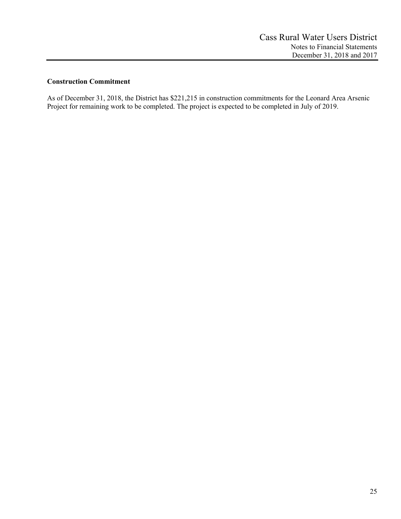## **Construction Commitment**

As of December 31, 2018, the District has \$221,215 in construction commitments for the Leonard Area Arsenic Project for remaining work to be completed. The project is expected to be completed in July of 2019.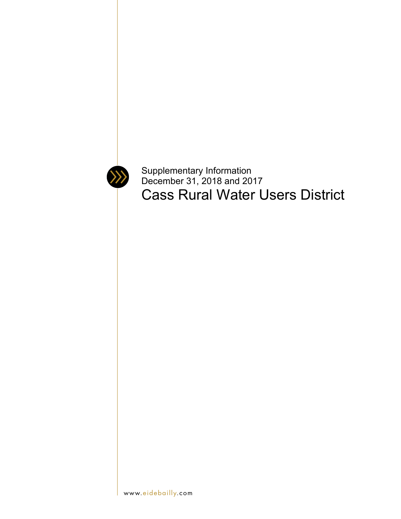

Supplementary Information December 31, 2018 and 2017 Cass Rural Water Users District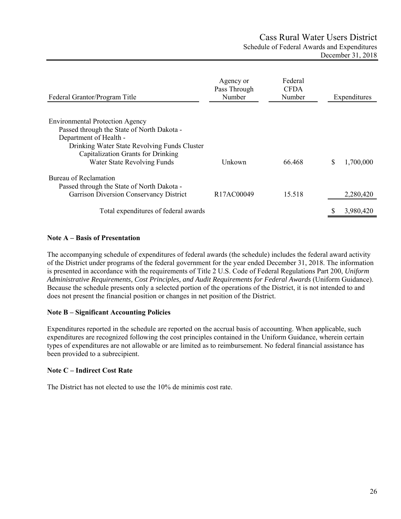| Federal Grantor/Program Title                                                                                                                                                                                                       | Agency or<br>Pass Through<br>Number | Federal<br><b>CFDA</b><br>Number |   | Expenditures |
|-------------------------------------------------------------------------------------------------------------------------------------------------------------------------------------------------------------------------------------|-------------------------------------|----------------------------------|---|--------------|
| <b>Environmental Protection Agency</b><br>Passed through the State of North Dakota -<br>Department of Health -<br>Drinking Water State Revolving Funds Cluster<br>Capitalization Grants for Drinking<br>Water State Revolving Funds | Unkown                              | 66.468                           | S | 1,700,000    |
| Bureau of Reclamation<br>Passed through the State of North Dakota -<br>Garrison Diversion Conservancy District                                                                                                                      | R <sub>17</sub> AC <sub>00049</sub> | 15.518                           |   | 2,280,420    |
| Total expenditures of federal awards                                                                                                                                                                                                |                                     |                                  |   | 3,980,420    |

## **Note A – Basis of Presentation**

The accompanying schedule of expenditures of federal awards (the schedule) includes the federal award activity of the District under programs of the federal government for the year ended December 31, 2018. The information is presented in accordance with the requirements of Title 2 U.S. Code of Federal Regulations Part 200, *Uniform Administrative Requirements, Cost Principles, and Audit Requirements for Federal Awards* (Uniform Guidance). Because the schedule presents only a selected portion of the operations of the District, it is not intended to and does not present the financial position or changes in net position of the District.

## **Note B – Significant Accounting Policies**

Expenditures reported in the schedule are reported on the accrual basis of accounting. When applicable, such expenditures are recognized following the cost principles contained in the Uniform Guidance, wherein certain types of expenditures are not allowable or are limited as to reimbursement. No federal financial assistance has been provided to a subrecipient.

## **Note C – Indirect Cost Rate**

The District has not elected to use the 10% de minimis cost rate.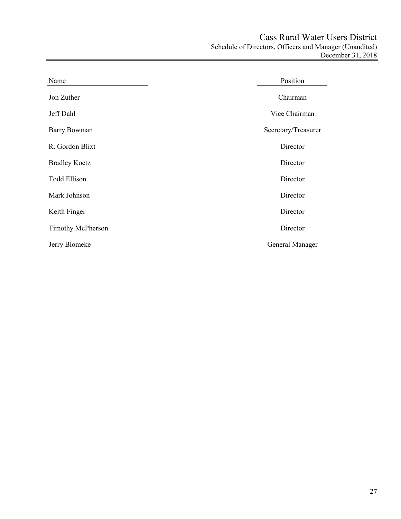| Name                     | Position            |
|--------------------------|---------------------|
| Jon Zuther               | Chairman            |
| Jeff Dahl                | Vice Chairman       |
| <b>Barry Bowman</b>      | Secretary/Treasurer |
| R. Gordon Blixt          | Director            |
| <b>Bradley Koetz</b>     | Director            |
| <b>Todd Ellison</b>      | Director            |
| Mark Johnson             | Director            |
| Keith Finger             | Director            |
| <b>Timothy McPherson</b> | Director            |
| Jerry Blomeke            | General Manager     |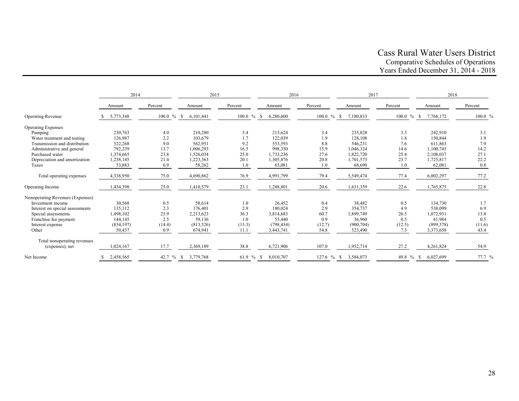## Cass Rural Water Users District Comparative Schedules of Operations Years Ended December 31, 2014 - 2018

|                                  | 2014       |                    | 2015      |                | 2016       |              | 2017            |                       | 2018            |         |
|----------------------------------|------------|--------------------|-----------|----------------|------------|--------------|-----------------|-----------------------|-----------------|---------|
|                                  | Amount     | Percent            | Amount    | Percent        | Amount     | Percent      | Amount          | Percent               | Amount          | Percent |
| <b>Operating Revenue</b>         | 5,773,348  | $100.0 \%$ \$      | 6,101,441 | $100.0 \%$ S   | 6,280,600  | $100.0 \%$ S | 7,180,833       | $100.0 \%$ \$         | 7,768,172       | 100.0 % |
| <b>Operating Expenses</b>        |            |                    |           |                |            |              |                 |                       |                 |         |
| Pumping                          | 230,763    | 4.0                | 210,280   | 3.4            | 213,624    | 3.4          | 235,828         | 3.3                   | 242,910         | 3.1     |
| Water treatment and testing      | 126,987    | 2.2                | 103,679   | 1.7            | 122,039    | 1.9          | 128,108         | 1.8                   | 150,844         | 1.9     |
| Transmission and distribution    | 522,268    | 9.0                | 562,951   | 9.2            | 553,593    | 8.8          | 546,231         | 7.6                   | 611,863         | 7.9     |
| Administrative and general       | 792,239    | 13.7               | 1,006,293 | 16.5           | 998,350    | 15.9         | 1,046,324       | 14.6                  | 1,100,745       | 14.2    |
| Purchased water                  | 1,374,665  | 23.8               | 1,526,034 | 25.0           | 1,733,236  | 27.6         | 1,822,720       | 25.4                  | 2,108,037       | 27.1    |
| Depreciation and amortization    | 1,238,145  | 21.4               | 1,223,363 | 20.1           | 1,305,876  | 20.8         | 1,701,573       | 23.7                  | 1,725,817       | 22.2    |
| Taxes                            | 53,883     | 0.9                | 58,262    | 1.0            | 65,081     | 1.0          | 68,690          | 1.0                   | 62,081          | 0.8     |
| Total operating expenses         | 4,338,950  | 75.0               | 4,690,862 | 76.9           | 4,991,799  | 79.4         | 5,549,474       | 77.4                  | 6,002,297       | 77.2    |
| Operating Income                 | 1,434,398  | 25.0               | 1,410,579 | 23.1           | 1,288,801  | 20.6         | 1,631,359       | 22.6                  | 1,765,875       | 22.8    |
| Nonoperating Revenues (Expenses) |            |                    |           |                |            |              |                 |                       |                 |         |
| Investment income                | 30,568     | 0.5                | 58,614    | 1.0            | 26,452     | 0.4          | 38,482          | 0.5                   | 134,730         | 1.7     |
| Interest on special assessments  | 135,112    | 2.3                | 176,401   | 2.9            | 180,024    | 2.9          | 354,737         | 4.9                   | 538,099         | 6.9     |
| Special assessments              | 1,498,102  | 25.9               | 2,213,623 | 36.3           | 3,814,683  | 60.7         | 1,899,749       | 26.5                  | 1,072,931       | 13.8    |
| Franchise fee payment            | 144,145    | 2.5                | 59,136    | 1.0            | 55,440     | 0.9          | 36,960          | 0.5                   | 41,984          | 0.5     |
| Interest expense                 | (834, 197) | (14.4)             | (813,526) | (13.3)         | (798, 434) | (12.7)       | (900, 704)      | (12.5)                | (899, 578)      | (11.6)  |
| Other                            | 50,437     | 0.9                | 674,941   | 11.1           | 3,443,741  | 54.8         | 523,490         | 7.3                   | 3,373,658       | 43.4    |
| Total nonoperating revenues      |            |                    |           |                |            |              |                 |                       |                 |         |
| (expenses), net                  | 1,024,167  | 17.7               | 2,369,189 | 38.8           | 6,721,906  | 107.0        | 1,952,714       | 27.2                  | 4,261,824       | 54.9    |
| Net Income                       | 2.458.565  | 42.7<br>$\%$<br>-S | 3,779,768 | 61.9 $%$<br>-8 | 8,010,707  | 127.6 %      | 3.584.073<br>-S | 49.8<br>$\frac{0}{0}$ | 6.027.699<br>-8 | 77.7 %  |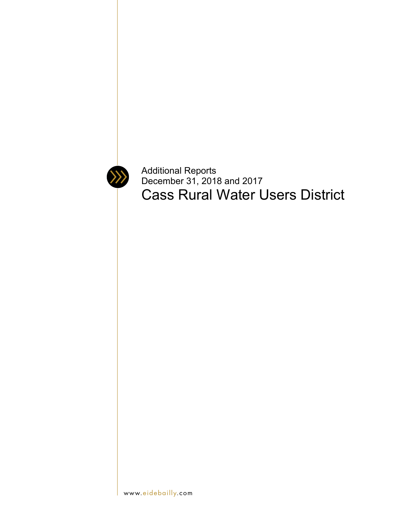

Additional Reports December 31, 2018 and 2017 Cass Rural Water Users District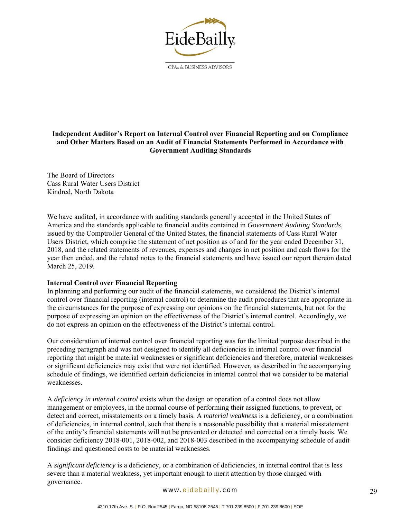

**CPAs & BUSINESS ADVISORS** 

## **Independent Auditor's Report on Internal Control over Financial Reporting and on Compliance and Other Matters Based on an Audit of Financial Statements Performed in Accordance with Government Auditing Standards**

The Board of Directors Cass Rural Water Users District Kindred, North Dakota

We have audited, in accordance with auditing standards generally accepted in the United States of America and the standards applicable to financial audits contained in *Government Auditing Standards*, issued by the Comptroller General of the United States, the financial statements of Cass Rural Water Users District, which comprise the statement of net position as of and for the year ended December 31, 2018, and the related statements of revenues, expenses and changes in net position and cash flows for the year then ended, and the related notes to the financial statements and have issued our report thereon dated March 25, 2019.

### **Internal Control over Financial Reporting**

In planning and performing our audit of the financial statements, we considered the District's internal control over financial reporting (internal control) to determine the audit procedures that are appropriate in the circumstances for the purpose of expressing our opinions on the financial statements, but not for the purpose of expressing an opinion on the effectiveness of the District's internal control. Accordingly, we do not express an opinion on the effectiveness of the District's internal control.

Our consideration of internal control over financial reporting was for the limited purpose described in the preceding paragraph and was not designed to identify all deficiencies in internal control over financial reporting that might be material weaknesses or significant deficiencies and therefore, material weaknesses or significant deficiencies may exist that were not identified. However, as described in the accompanying schedule of findings, we identified certain deficiencies in internal control that we consider to be material weaknesses.

A *deficiency in internal control* exists when the design or operation of a control does not allow management or employees, in the normal course of performing their assigned functions, to prevent, or detect and correct, misstatements on a timely basis. A *material weakness* is a deficiency, or a combination of deficiencies, in internal control, such that there is a reasonable possibility that a material misstatement of the entity's financial statements will not be prevented or detected and corrected on a timely basis. We consider deficiency 2018-001, 2018-002, and 2018-003 described in the accompanying schedule of audit findings and questioned costs to be material weaknesses.

A *significant deficiency* is a deficiency, or a combination of deficiencies, in internal control that is less severe than a material weakness, yet important enough to merit attention by those charged with governance.

#### www.eidebailly.com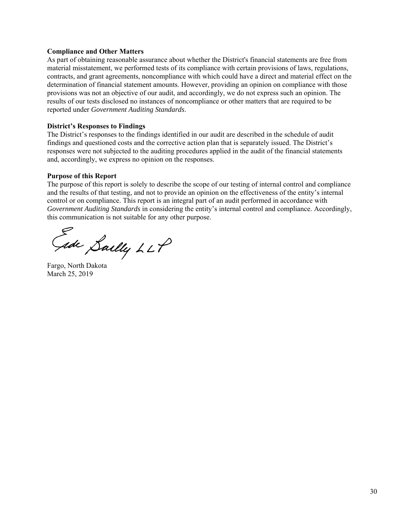### **Compliance and Other Matters**

As part of obtaining reasonable assurance about whether the District's financial statements are free from material misstatement, we performed tests of its compliance with certain provisions of laws, regulations, contracts, and grant agreements, noncompliance with which could have a direct and material effect on the determination of financial statement amounts. However, providing an opinion on compliance with those provisions was not an objective of our audit, and accordingly, we do not express such an opinion. The results of our tests disclosed no instances of noncompliance or other matters that are required to be reported under *Government Auditing Standards*.

### **District's Responses to Findings**

The District's responses to the findings identified in our audit are described in the schedule of audit findings and questioned costs and the corrective action plan that is separately issued. The District's responses were not subjected to the auditing procedures applied in the audit of the financial statements and, accordingly, we express no opinion on the responses.

#### **Purpose of this Report**

The purpose of this report is solely to describe the scope of our testing of internal control and compliance and the results of that testing, and not to provide an opinion on the effectiveness of the entity's internal control or on compliance. This report is an integral part of an audit performed in accordance with *Government Auditing Standards* in considering the entity's internal control and compliance. Accordingly, this communication is not suitable for any other purpose.

Gide Sailly LLP

Fargo, North Dakota March 25, 2019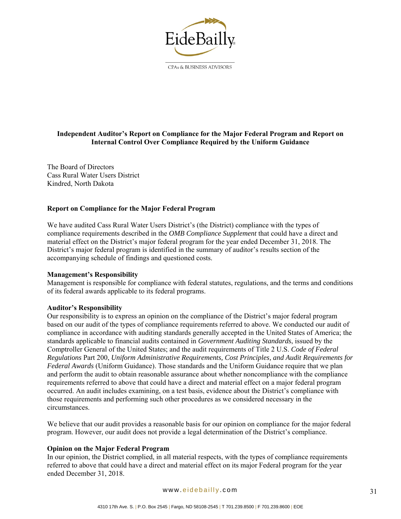

**CPAs & BUSINESS ADVISORS** 

## **Independent Auditor's Report on Compliance for the Major Federal Program and Report on Internal Control Over Compliance Required by the Uniform Guidance**

The Board of Directors Cass Rural Water Users District Kindred, North Dakota

### **Report on Compliance for the Major Federal Program**

We have audited Cass Rural Water Users District's (the District) compliance with the types of compliance requirements described in the *OMB Compliance Supplement* that could have a direct and material effect on the District's major federal program for the year ended December 31, 2018. The District's major federal program is identified in the summary of auditor's results section of the accompanying schedule of findings and questioned costs.

### **Management's Responsibility**

Management is responsible for compliance with federal statutes, regulations, and the terms and conditions of its federal awards applicable to its federal programs.

### **Auditor's Responsibility**

Our responsibility is to express an opinion on the compliance of the District's major federal program based on our audit of the types of compliance requirements referred to above. We conducted our audit of compliance in accordance with auditing standards generally accepted in the United States of America; the standards applicable to financial audits contained in *Government Auditing Standards*, issued by the Comptroller General of the United States; and the audit requirements of Title 2 U.S. *Code of Federal Regulations* Part 200, *Uniform Administrative Requirements, Cost Principles, and Audit Requirements for Federal Awards* (Uniform Guidance). Those standards and the Uniform Guidance require that we plan and perform the audit to obtain reasonable assurance about whether noncompliance with the compliance requirements referred to above that could have a direct and material effect on a major federal program occurred. An audit includes examining, on a test basis, evidence about the District's compliance with those requirements and performing such other procedures as we considered necessary in the circumstances.

We believe that our audit provides a reasonable basis for our opinion on compliance for the major federal program. However, our audit does not provide a legal determination of the District's compliance.

### **Opinion on the Major Federal Program**

In our opinion, the District complied, in all material respects, with the types of compliance requirements referred to above that could have a direct and material effect on its major Federal program for the year ended December 31, 2018.

#### www. eidebailly .com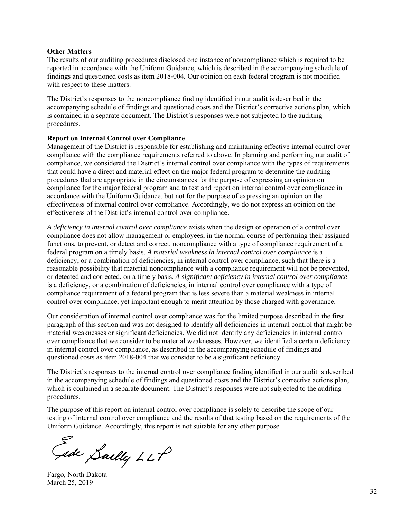### **Other Matters**

The results of our auditing procedures disclosed one instance of noncompliance which is required to be reported in accordance with the Uniform Guidance, which is described in the accompanying schedule of findings and questioned costs as item 2018-004*.* Our opinion on each federal program is not modified with respect to these matters.

The District's responses to the noncompliance finding identified in our audit is described in the accompanying schedule of findings and questioned costs and the District's corrective actions plan, which is contained in a separate document. The District's responses were not subjected to the auditing procedures.

### **Report on Internal Control over Compliance**

Management of the District is responsible for establishing and maintaining effective internal control over compliance with the compliance requirements referred to above. In planning and performing our audit of compliance, we considered the District's internal control over compliance with the types of requirements that could have a direct and material effect on the major federal program to determine the auditing procedures that are appropriate in the circumstances for the purpose of expressing an opinion on compliance for the major federal program and to test and report on internal control over compliance in accordance with the Uniform Guidance, but not for the purpose of expressing an opinion on the effectiveness of internal control over compliance. Accordingly, we do not express an opinion on the effectiveness of the District's internal control over compliance.

*A deficiency in internal control over compliance* exists when the design or operation of a control over compliance does not allow management or employees, in the normal course of performing their assigned functions, to prevent, or detect and correct, noncompliance with a type of compliance requirement of a federal program on a timely basis. *A material weakness in internal control over compliance* is a deficiency, or a combination of deficiencies, in internal control over compliance, such that there is a reasonable possibility that material noncompliance with a compliance requirement will not be prevented, or detected and corrected, on a timely basis. *A significant deficiency in internal control over compliance* is a deficiency, or a combination of deficiencies, in internal control over compliance with a type of compliance requirement of a federal program that is less severe than a material weakness in internal control over compliance, yet important enough to merit attention by those charged with governance.

Our consideration of internal control over compliance was for the limited purpose described in the first paragraph of this section and was not designed to identify all deficiencies in internal control that might be material weaknesses or significant deficiencies. We did not identify any deficiencies in internal control over compliance that we consider to be material weaknesses. However, we identified a certain deficiency in internal control over compliance, as described in the accompanying schedule of findings and questioned costs as item 2018-004 that we consider to be a significant deficiency.

The District's responses to the internal control over compliance finding identified in our audit is described in the accompanying schedule of findings and questioned costs and the District's corrective actions plan, which is contained in a separate document. The District's responses were not subjected to the auditing procedures.

The purpose of this report on internal control over compliance is solely to describe the scope of our testing of internal control over compliance and the results of that testing based on the requirements of the Uniform Guidance. Accordingly, this report is not suitable for any other purpose.

Gade Sailly LLP

Fargo, North Dakota March 25, 2019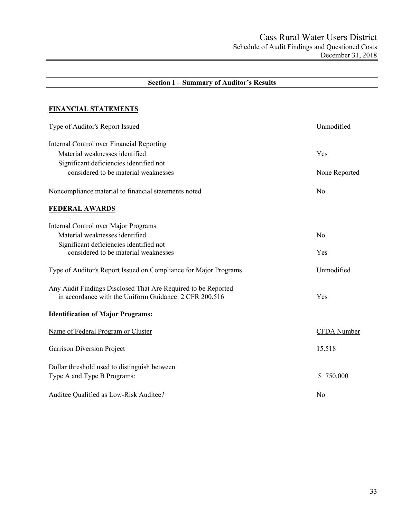# **Section I – Summary of Auditor's Results**

## **FINANCIAL STATEMENTS**

| Type of Auditor's Report Issued                                  | Unmodified    |
|------------------------------------------------------------------|---------------|
| Internal Control over Financial Reporting                        |               |
| Material weaknesses identified                                   | Yes           |
| Significant deficiencies identified not                          |               |
| considered to be material weaknesses                             | None Reported |
| Noncompliance material to financial statements noted             | No            |
| <b>FEDERAL AWARDS</b>                                            |               |
| Internal Control over Major Programs                             |               |
| Material weaknesses identified                                   | No            |
| Significant deficiencies identified not                          |               |
| considered to be material weaknesses                             | Yes           |
| Type of Auditor's Report Issued on Compliance for Major Programs | Unmodified    |
| Any Audit Findings Disclosed That Are Required to be Reported    |               |
| in accordance with the Uniform Guidance: 2 CFR 200.516           | Yes           |
| <b>Identification of Major Programs:</b>                         |               |
| Name of Federal Program or Cluster                               | CFDA Number   |
| Garrison Diversion Project                                       | 15.518        |
| Dollar threshold used to distinguish between                     |               |
| Type A and Type B Programs:                                      | \$750,000     |
|                                                                  |               |
|                                                                  |               |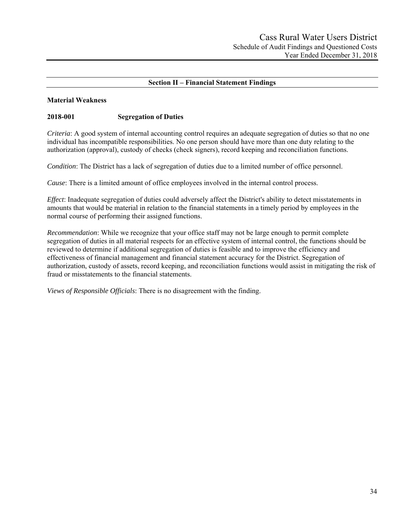## **Section II – Financial Statement Findings**

### **Material Weakness**

### **2018-001 Segregation of Duties**

*Criteria*: A good system of internal accounting control requires an adequate segregation of duties so that no one individual has incompatible responsibilities. No one person should have more than one duty relating to the authorization (approval), custody of checks (check signers), record keeping and reconciliation functions.

*Condition*: The District has a lack of segregation of duties due to a limited number of office personnel.

*Cause*: There is a limited amount of office employees involved in the internal control process.

*Effect*: Inadequate segregation of duties could adversely affect the District's ability to detect misstatements in amounts that would be material in relation to the financial statements in a timely period by employees in the normal course of performing their assigned functions.

*Recommendation*: While we recognize that your office staff may not be large enough to permit complete segregation of duties in all material respects for an effective system of internal control, the functions should be reviewed to determine if additional segregation of duties is feasible and to improve the efficiency and effectiveness of financial management and financial statement accuracy for the District. Segregation of authorization, custody of assets, record keeping, and reconciliation functions would assist in mitigating the risk of fraud or misstatements to the financial statements.

*Views of Responsible Officials*: There is no disagreement with the finding.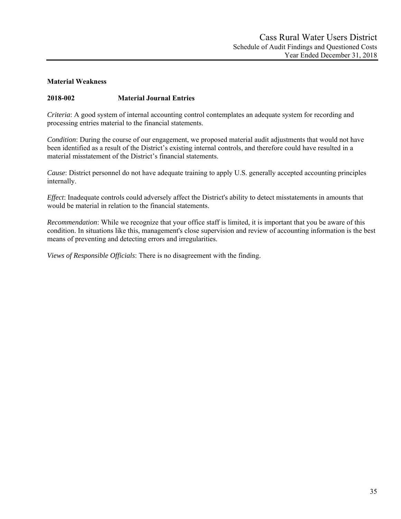## **Material Weakness**

## **2018-002 Material Journal Entries**

*Criteria*: A good system of internal accounting control contemplates an adequate system for recording and processing entries material to the financial statements.

*Condition*: During the course of our engagement, we proposed material audit adjustments that would not have been identified as a result of the District's existing internal controls, and therefore could have resulted in a material misstatement of the District's financial statements.

*Cause*: District personnel do not have adequate training to apply U.S. generally accepted accounting principles internally.

*Effect*: Inadequate controls could adversely affect the District's ability to detect misstatements in amounts that would be material in relation to the financial statements.

*Recommendation*: While we recognize that your office staff is limited, it is important that you be aware of this condition. In situations like this, management's close supervision and review of accounting information is the best means of preventing and detecting errors and irregularities.

*Views of Responsible Officials*: There is no disagreement with the finding.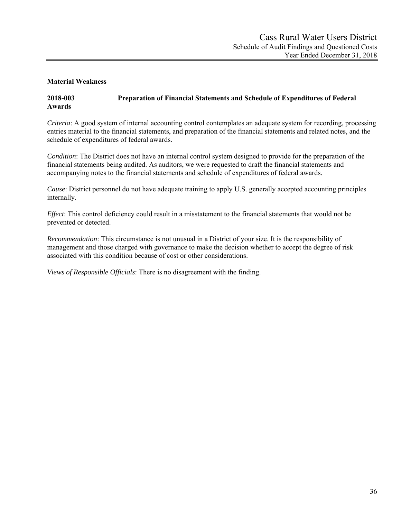## **Material Weakness**

## **2018-003 Preparation of Financial Statements and Schedule of Expenditures of Federal Awards**

*Criteria*: A good system of internal accounting control contemplates an adequate system for recording, processing entries material to the financial statements, and preparation of the financial statements and related notes, and the schedule of expenditures of federal awards.

*Condition*: The District does not have an internal control system designed to provide for the preparation of the financial statements being audited. As auditors, we were requested to draft the financial statements and accompanying notes to the financial statements and schedule of expenditures of federal awards.

*Cause*: District personnel do not have adequate training to apply U.S. generally accepted accounting principles internally.

*Effect*: This control deficiency could result in a misstatement to the financial statements that would not be prevented or detected.

*Recommendation*: This circumstance is not unusual in a District of your size. It is the responsibility of management and those charged with governance to make the decision whether to accept the degree of risk associated with this condition because of cost or other considerations.

*Views of Responsible Officials*: There is no disagreement with the finding.